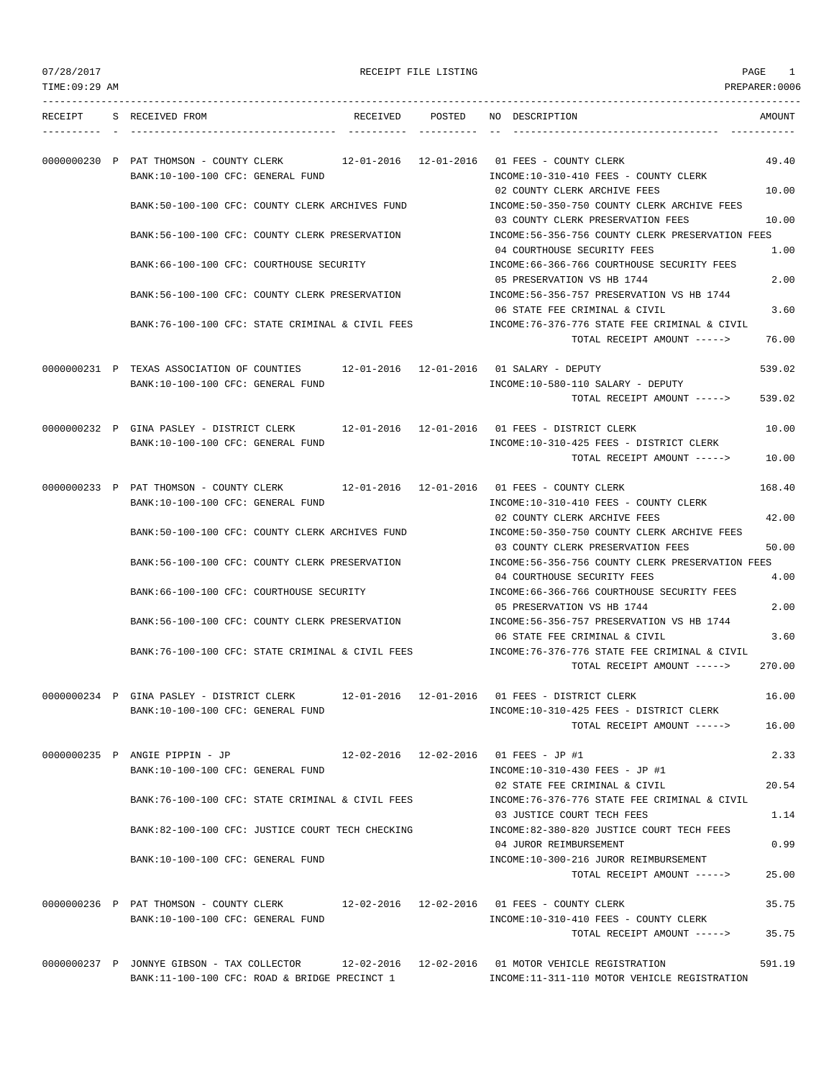|  | 07/28/2017 |  |
|--|------------|--|
|  |            |  |

RECEIPT FILE LISTING **PAGE** 1

| TIME: 09:29 AM |                                                                                                                           |  | PREPARER: 0006                                                                                                             |                |
|----------------|---------------------------------------------------------------------------------------------------------------------------|--|----------------------------------------------------------------------------------------------------------------------------|----------------|
|                | RECEIPT S RECEIVED FROM                                                                                                   |  | RECEIVED POSTED NO DESCRIPTION                                                                                             | AMOUNT         |
|                | 0000000230 P PAT THOMSON - COUNTY CLERK<br>BANK:10-100-100 CFC: GENERAL FUND                                              |  | 12-01-2016  12-01-2016  01 FEES - COUNTY CLERK<br>INCOME:10-310-410 FEES - COUNTY CLERK                                    | 49.40          |
|                | BANK:50-100-100 CFC: COUNTY CLERK ARCHIVES FUND                                                                           |  | 02 COUNTY CLERK ARCHIVE FEES<br>INCOME:50-350-750 COUNTY CLERK ARCHIVE FEES<br>03 COUNTY CLERK PRESERVATION FEES           | 10.00          |
|                | BANK:56-100-100 CFC: COUNTY CLERK PRESERVATION                                                                            |  | INCOME:56-356-756 COUNTY CLERK PRESERVATION FEES<br>04 COURTHOUSE SECURITY FEES                                            | 10.00<br>1.00  |
|                | BANK:66-100-100 CFC: COURTHOUSE SECURITY                                                                                  |  | INCOME: 66-366-766 COURTHOUSE SECURITY FEES<br>05 PRESERVATION VS HB 1744                                                  | 2.00           |
|                | BANK:56-100-100 CFC: COUNTY CLERK PRESERVATION                                                                            |  | INCOME: 56-356-757 PRESERVATION VS HB 1744<br>06 STATE FEE CRIMINAL & CIVIL                                                | 3.60           |
|                | BANK:76-100-100 CFC: STATE CRIMINAL & CIVIL FEES                                                                          |  | INCOME: 76-376-776 STATE FEE CRIMINAL & CIVIL<br>TOTAL RECEIPT AMOUNT ----->                                               | 76.00          |
|                | 0000000231 P TEXAS ASSOCIATION OF COUNTIES 12-01-2016 12-01-2016 01 SALARY - DEPUTY<br>BANK:10-100-100 CFC: GENERAL FUND  |  | INCOME:10-580-110 SALARY - DEPUTY                                                                                          | 539.02         |
|                |                                                                                                                           |  | TOTAL RECEIPT AMOUNT ----->                                                                                                | 539.02         |
|                | 0000000232 P GINA PASLEY - DISTRICT CLERK<br>BANK:10-100-100 CFC: GENERAL FUND                                            |  | 12-01-2016  12-01-2016  01 FEES - DISTRICT CLERK<br>INCOME:10-310-425 FEES - DISTRICT CLERK<br>TOTAL RECEIPT AMOUNT -----> | 10.00<br>10.00 |
|                | 0000000233 P PAT THOMSON - COUNTY CLERK 12-01-2016 12-01-2016 01 FEES - COUNTY CLERK<br>BANK:10-100-100 CFC: GENERAL FUND |  | INCOME:10-310-410 FEES - COUNTY CLERK                                                                                      | 168.40         |
|                | BANK:50-100-100 CFC: COUNTY CLERK ARCHIVES FUND                                                                           |  | 02 COUNTY CLERK ARCHIVE FEES<br>INCOME:50-350-750 COUNTY CLERK ARCHIVE FEES                                                | 42.00          |
|                | BANK:56-100-100 CFC: COUNTY CLERK PRESERVATION                                                                            |  | 03 COUNTY CLERK PRESERVATION FEES<br>INCOME:56-356-756 COUNTY CLERK PRESERVATION FEES                                      | 50.00          |
|                | BANK: 66-100-100 CFC: COURTHOUSE SECURITY                                                                                 |  | 04 COURTHOUSE SECURITY FEES<br>INCOME: 66-366-766 COURTHOUSE SECURITY FEES                                                 | 4.00           |
|                | BANK:56-100-100 CFC: COUNTY CLERK PRESERVATION                                                                            |  | 05 PRESERVATION VS HB 1744<br>INCOME: 56-356-757 PRESERVATION VS HB 1744<br>06 STATE FEE CRIMINAL & CIVIL                  | 2.00<br>3.60   |
|                | BANK:76-100-100 CFC: STATE CRIMINAL & CIVIL FEES                                                                          |  | INCOME: 76-376-776 STATE FEE CRIMINAL & CIVIL<br>TOTAL RECEIPT AMOUNT ----->                                               | 270.00         |
|                | 0000000234 P GINA PASLEY - DISTRICT CLERK<br>BANK:10-100-100 CFC: GENERAL FUND                                            |  | 12-01-2016  12-01-2016  01 FEES - DISTRICT CLERK<br>INCOME:10-310-425 FEES - DISTRICT CLERK                                | 16.00          |
|                |                                                                                                                           |  | TOTAL RECEIPT AMOUNT ----->                                                                                                | 16.00          |
|                | 0000000235 P ANGIE PIPPIN - JP<br>BANK:10-100-100 CFC: GENERAL FUND                                                       |  | 12-02-2016  12-02-2016  01 FEES - JP #1<br>INCOME:10-310-430 FEES - JP #1                                                  | 2.33           |
|                | BANK:76-100-100 CFC: STATE CRIMINAL & CIVIL FEES                                                                          |  | 02 STATE FEE CRIMINAL & CIVIL<br>INCOME: 76-376-776 STATE FEE CRIMINAL & CIVIL                                             | 20.54          |
|                | BANK:82-100-100 CFC: JUSTICE COURT TECH CHECKING                                                                          |  | 03 JUSTICE COURT TECH FEES<br>INCOME:82-380-820 JUSTICE COURT TECH FEES                                                    | 1.14           |
|                | BANK:10-100-100 CFC: GENERAL FUND                                                                                         |  | 04 JUROR REIMBURSEMENT<br>INCOME:10-300-216 JUROR REIMBURSEMENT                                                            | 0.99           |
|                |                                                                                                                           |  | TOTAL RECEIPT AMOUNT ----->                                                                                                | 25.00          |
|                | 0000000236 P PAT THOMSON - COUNTY CLERK 12-02-2016 12-02-2016 01 FEES - COUNTY CLERK<br>BANK:10-100-100 CFC: GENERAL FUND |  | INCOME:10-310-410 FEES - COUNTY CLERK                                                                                      | 35.75          |
|                |                                                                                                                           |  | TOTAL RECEIPT AMOUNT ----->                                                                                                | 35.75          |
|                | 0000000237 P JONNYE GIBSON - TAX COLLECTOR<br>BANK:11-100-100 CFC: ROAD & BRIDGE PRECINCT 1                               |  | 12-02-2016  12-02-2016  01 MOTOR VEHICLE REGISTRATION<br>INCOME:11-311-110 MOTOR VEHICLE REGISTRATION                      | 591.19         |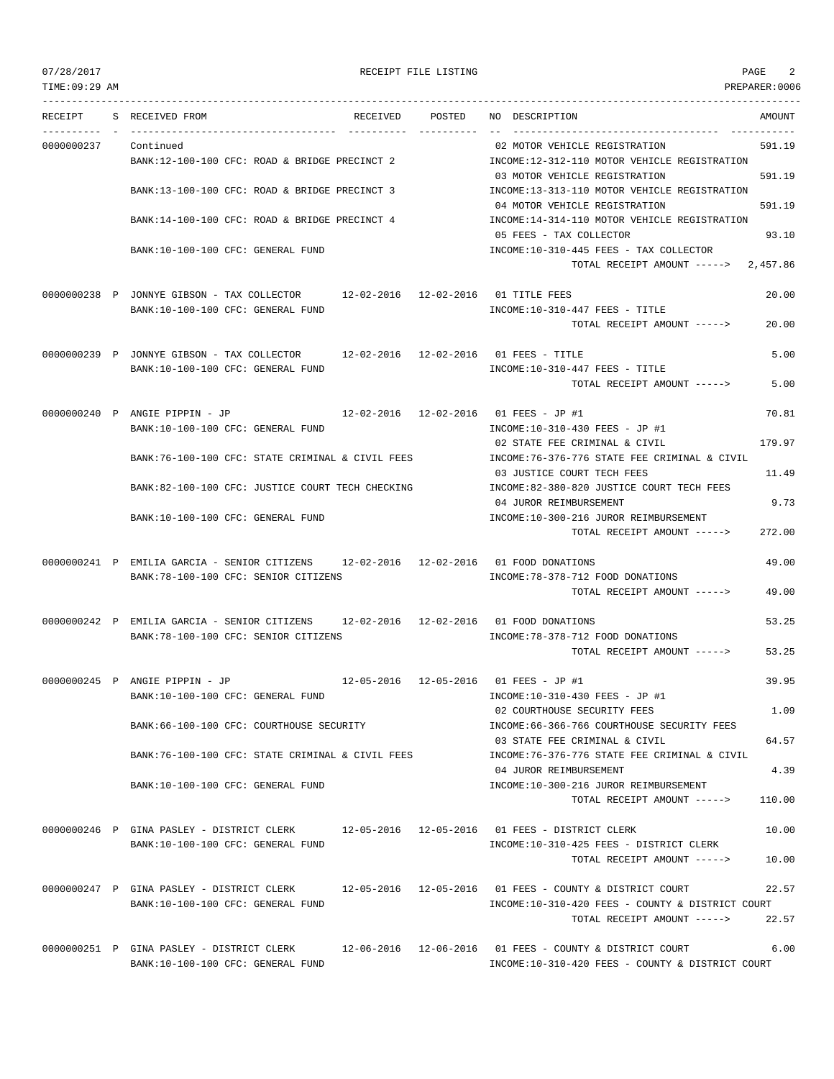TIME:09:29 AM PREPARER:0006

| RECEIPT    | S RECEIVED FROM                                                                                                     | RECEIVED POSTED | NO DESCRIPTION                                                                                                  | AMOUNT        |
|------------|---------------------------------------------------------------------------------------------------------------------|-----------------|-----------------------------------------------------------------------------------------------------------------|---------------|
| 0000000237 | Continued<br>BANK:12-100-100 CFC: ROAD & BRIDGE PRECINCT 2                                                          |                 | 02 MOTOR VEHICLE REGISTRATION<br>INCOME:12-312-110 MOTOR VEHICLE REGISTRATION                                   | 591.19        |
|            | BANK:13-100-100 CFC: ROAD & BRIDGE PRECINCT 3                                                                       |                 | 03 MOTOR VEHICLE REGISTRATION<br>INCOME:13-313-110 MOTOR VEHICLE REGISTRATION                                   | 591.19        |
|            | BANK:14-100-100 CFC: ROAD & BRIDGE PRECINCT 4                                                                       |                 | 04 MOTOR VEHICLE REGISTRATION<br>INCOME:14-314-110 MOTOR VEHICLE REGISTRATION                                   | 591.19        |
|            | BANK:10-100-100 CFC: GENERAL FUND                                                                                   |                 | 05 FEES - TAX COLLECTOR<br>INCOME:10-310-445 FEES - TAX COLLECTOR                                               | 93.10         |
|            |                                                                                                                     |                 | TOTAL RECEIPT AMOUNT -----> 2,457.86                                                                            |               |
|            | 0000000238 P JONNYE GIBSON - TAX COLLECTOR 12-02-2016 12-02-2016 01 TITLE FEES<br>BANK:10-100-100 CFC: GENERAL FUND |                 | $INCOME: 10-310-447$ FEES - TITLE                                                                               | 20.00         |
|            |                                                                                                                     |                 | TOTAL RECEIPT AMOUNT ----->                                                                                     | 20.00         |
|            | 0000000239 P JONNYE GIBSON - TAX COLLECTOR 12-02-2016 12-02-2016 01 FEES - TITLE                                    |                 |                                                                                                                 | 5.00          |
|            | BANK:10-100-100 CFC: GENERAL FUND                                                                                   |                 | INCOME:10-310-447 FEES - TITLE<br>TOTAL RECEIPT AMOUNT ----->                                                   | 5.00          |
|            | 0000000240 P ANGIE PIPPIN - JP                                                                                      |                 | 12-02-2016  12-02-2016  01 FEES - JP #1                                                                         | 70.81         |
|            | BANK:10-100-100 CFC: GENERAL FUND                                                                                   |                 | INCOME:10-310-430 FEES - JP #1<br>02 STATE FEE CRIMINAL & CIVIL                                                 | 179.97        |
|            | BANK:76-100-100 CFC: STATE CRIMINAL & CIVIL FEES                                                                    |                 | INCOME: 76-376-776 STATE FEE CRIMINAL & CIVIL<br>03 JUSTICE COURT TECH FEES                                     | 11.49         |
|            | BANK:82-100-100 CFC: JUSTICE COURT TECH CHECKING                                                                    |                 | INCOME:82-380-820 JUSTICE COURT TECH FEES<br>04 JUROR REIMBURSEMENT                                             | 9.73          |
|            | BANK:10-100-100 CFC: GENERAL FUND                                                                                   |                 | INCOME:10-300-216 JUROR REIMBURSEMENT<br>TOTAL RECEIPT AMOUNT ----->                                            | 272.00        |
|            | 0000000241 P EMILIA GARCIA - SENIOR CITIZENS 12-02-2016 12-02-2016 01 FOOD DONATIONS                                |                 |                                                                                                                 | 49.00         |
|            | BANK:78-100-100 CFC: SENIOR CITIZENS                                                                                |                 | INCOME: 78-378-712 FOOD DONATIONS<br>TOTAL RECEIPT AMOUNT ----->                                                | 49.00         |
|            | 0000000242 P EMILIA GARCIA - SENIOR CITIZENS 12-02-2016 12-02-2016 01 FOOD DONATIONS                                |                 |                                                                                                                 | 53.25         |
|            | BANK:78-100-100 CFC: SENIOR CITIZENS                                                                                |                 | INCOME: 78-378-712 FOOD DONATIONS<br>TOTAL RECEIPT AMOUNT ----->                                                | 53.25         |
|            | 0000000245 P ANGIE PIPPIN - JP                                                                                      |                 | 12-05-2016  12-05-2016  01 FEES - JP #1                                                                         | 39.95         |
|            | BANK:10-100-100 CFC: GENERAL FUND                                                                                   |                 | INCOME:10-310-430 FEES - JP #1<br>02 COURTHOUSE SECURITY FEES                                                   | 1.09          |
|            | BANK:66-100-100 CFC: COURTHOUSE SECURITY                                                                            |                 | INCOME: 66-366-766 COURTHOUSE SECURITY FEES<br>03 STATE FEE CRIMINAL & CIVIL                                    | 64.57         |
|            | BANK:76-100-100 CFC: STATE CRIMINAL & CIVIL FEES                                                                    |                 | INCOME: 76-376-776 STATE FEE CRIMINAL & CIVIL<br>04 JUROR REIMBURSEMENT                                         | 4.39          |
|            | BANK:10-100-100 CFC: GENERAL FUND                                                                                   |                 | INCOME:10-300-216 JUROR REIMBURSEMENT<br>TOTAL RECEIPT AMOUNT ----->                                            | 110.00        |
|            | 0000000246 P GINA PASLEY - DISTRICT CLERK                                                                           |                 | 12-05-2016  12-05-2016  01 FEES - DISTRICT CLERK                                                                | 10.00         |
|            | BANK:10-100-100 CFC: GENERAL FUND                                                                                   |                 | INCOME:10-310-425 FEES - DISTRICT CLERK<br>TOTAL RECEIPT AMOUNT ----->                                          | 10.00         |
|            | 0000000247 P GINA PASLEY - DISTRICT CLERK<br>BANK:10-100-100 CFC: GENERAL FUND                                      |                 | $12-05-2016$ $12-05-2016$ 01 FEES - COUNTY & DISTRICT COURT<br>INCOME:10-310-420 FEES - COUNTY & DISTRICT COURT | 22.57         |
|            |                                                                                                                     |                 | TOTAL RECEIPT AMOUNT ----->                                                                                     | 22.57         |
|            | $0.000000025$ of CITMA DACTEV DIGTERENT ON DIRECT 10 OC 2016 12 OC 2016 01 REEC COUNTRY C DIGTERENT ON DE           |                 |                                                                                                                 | $\epsilon$ 00 |

0000000251 P GINA PASLEY - DISTRICT CLERK 12-06-2016 12-06-2016 01 FEES - COUNTY & DISTRICT COURT 6.00 BANK:10-100-100 CFC: GENERAL FUND INCOME:10-310-420 FEES - COUNTY & DISTRICT COURT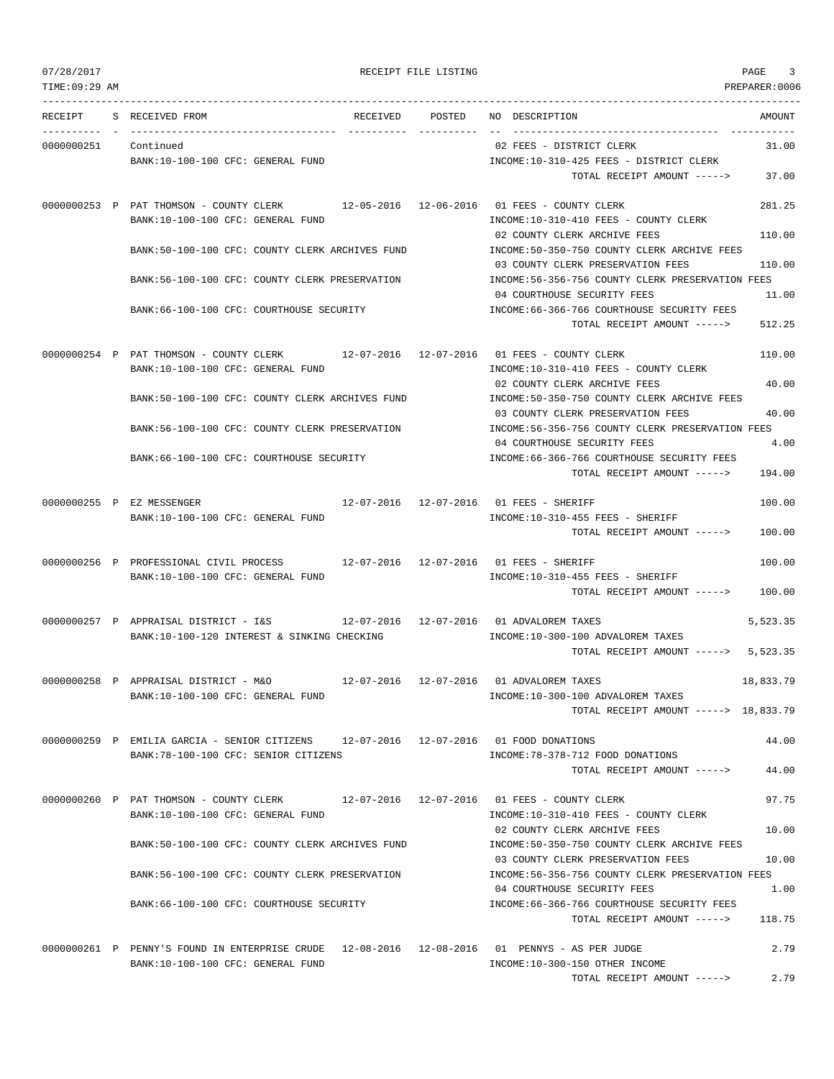TIME:09:29 AM PREPARER:0006 --------------------------------------------------------------------------------------------------------------------------------- RECEIPT S RECEIVED FROM RECEIVED POSTED NO DESCRIPTION AMOUNT ---------- - ----------------------------------- ---------- ---------- -- ----------------------------------- ----------- 0000000251 Continued 02 FEES - DISTRICT CLERK 31.00 BANK:10-100-100 CFC: GENERAL FUND INCOME:10-310-425 FEES - DISTRICT CLERK TOTAL RECEIPT AMOUNT -----> 37.00 0000000253 P PAT THOMSON - COUNTY CLERK 12-05-2016 12-06-2016 01 FEES - COUNTY CLERK 281.25 BANK:10-100-100 CFC: GENERAL FUND INCOME:10-310-410 FEES - COUNTY CLERK 02 COUNTY CLERK ARCHIVE FEES 110.00 BANK:50-100-100 CFC: COUNTY CLERK ARCHIVES FUND INCOME:50-350-750 COUNTY CLERK ARCHIVE FEES 03 COUNTY CLERK PRESERVATION FEES 110.00 BANK:56-100-100 CFC: COUNTY CLERK PRESERVATION INCOME:56-356-756 COUNTY CLERK PRESERVATION FEES 04 COURTHOUSE SECURITY FEES 11.00 BANK:66-100-100 CFC: COURTHOUSE SECURITY INCOME:66-366-766 COURTHOUSE SECURITY FEES TOTAL RECEIPT AMOUNT -----> 512.25 0000000254 P PAT THOMSON - COUNTY CLERK 12-07-2016 12-07-2016 01 FEES - COUNTY CLERK 110.00 BANK:10-100-100 CFC: GENERAL FUND INCOME:10-310-410 FEES - COUNTY CLERK 02 COUNTY CLERK ARCHIVE FEES 40.00 BANK:50-100-100 CFC: COUNTY CLERK ARCHIVES FUND INCOME:50-350-750 COUNTY CLERK ARCHIVE FEES 03 COUNTY CLERK PRESERVATION FEES 40.00 BANK:56-100-100 CFC: COUNTY CLERK PRESERVATION INCOME:56-356-756 COUNTY CLERK PRESERVATION FEES 04 COURTHOUSE SECURITY FEES 4.00 BANK:66-100-100 CFC: COURTHOUSE SECURITY INCOME:66-366-766 COURTHOUSE SECURITY FEES TOTAL RECEIPT AMOUNT -----> 194.00 0000000255 P EZ MESSENGER 12-07-2016 12-07-2016 01 FEES - SHERIFF 100.00 BANK:10-100-100 CFC: GENERAL FUND **INCOME:10-310-455 FEES - SHERIFF** TOTAL RECEIPT AMOUNT -----> 100.00 0000000256 P PROFESSIONAL CIVIL PROCESS 12-07-2016 12-07-2016 01 FEES - SHERIFF 100.00 BANK:10-100-100 CFC: GENERAL FUND INCOME:10-310-455 FEES - SHERIFF TOTAL RECEIPT AMOUNT -----> 100.00 0000000257 P APPRAISAL DISTRICT - I&S 12-07-2016 12-07-2016 01 ADVALOREM TAXES 5,523.35 BANK:10-100-120 INTEREST & SINKING CHECKING  $INCOME:10-300-100$  ADVALOREM TAXES TOTAL RECEIPT AMOUNT -----> 5,523.35 0000000258 P APPRAISAL DISTRICT - M&O 12-07-2016 12-07-2016 01 ADVALOREM TAXES 18,833.79 BANK:10-100-100 CFC: GENERAL FUND INCOME:10-300-100 ADVALOREM TAXES TOTAL RECEIPT AMOUNT -----> 18,833.79 0000000259 P EMILIA GARCIA - SENIOR CITIZENS 12-07-2016 12-07-2016 01 FOOD DONATIONS 44.00 BANK:78-100-100 CFC: SENIOR CITIZENS INCOME:78-378-712 FOOD DONATIONS TOTAL RECEIPT AMOUNT -----> 44.00 0000000260 P PAT THOMSON - COUNTY CLERK 12-07-2016 12-07-2016 01 FEES - COUNTY CLERK 97.75 BANK:10-100-100 CFC: GENERAL FUND **INCOME:10-310-410 FEES - COUNTY CLERK** 02 COUNTY CLERK ARCHIVE FEES 10.00 BANK:50-100-100 CFC: COUNTY CLERK ARCHIVES FUND INCOME:50-350-750 COUNTY CLERK ARCHIVE FEES 03 COUNTY CLERK PRESERVATION FEES 10.00 BANK:56-100-100 CFC: COUNTY CLERK PRESERVATION INCOME:56-356-756 COUNTY CLERK PRESERVATION FEES 04 COURTHOUSE SECURITY FEES 1.00 BANK:66-100-100 CFC: COURTHOUSE SECURITY INCOME:66-366-766 COURTHOUSE SECURITY FEES TOTAL RECEIPT AMOUNT -----> 118.75 0000000261 P PENNY'S FOUND IN ENTERPRISE CRUDE 12-08-2016 12-08-2016 01 PENNYS - AS PER JUDGE 2.79 BANK:10-100-100 CFC: GENERAL FUND INCOME:10-300-150 OTHER INCOME

TOTAL RECEIPT AMOUNT -----> 2.79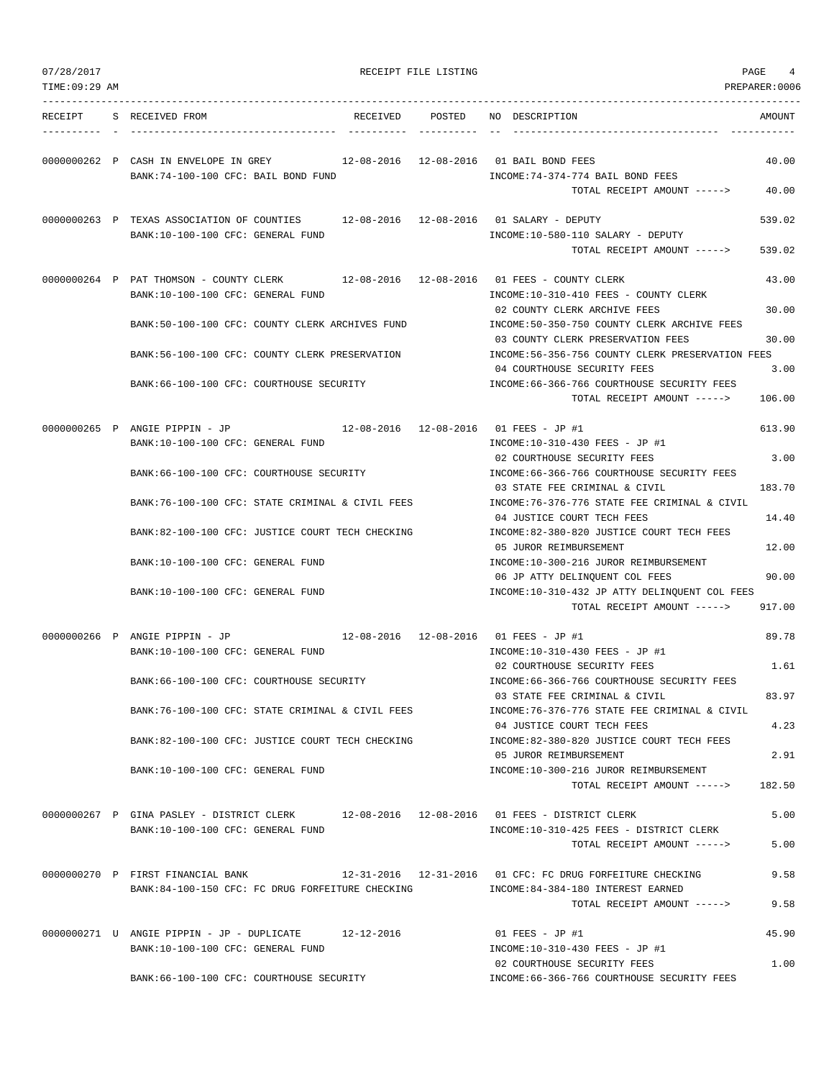| 07/28/2017<br>TIME: 09:29 AM |                                                                                                                           | RECEIPT FILE LISTING |                                                                                                  | PAGE<br>$\overline{4}$<br>PREPARER: 0006 |
|------------------------------|---------------------------------------------------------------------------------------------------------------------------|----------------------|--------------------------------------------------------------------------------------------------|------------------------------------------|
|                              | RECEIPT S RECEIVED FROM                                                                                                   |                      | RECEIVED POSTED NO DESCRIPTION                                                                   | AMOUNT                                   |
|                              | 0000000262 P CASH IN ENVELOPE IN GREY 12-08-2016 12-08-2016 01 BAIL BOND FEES<br>BANK:74-100-100 CFC: BAIL BOND FUND      |                      | INCOME: 74-374-774 BAIL BOND FEES<br>TOTAL RECEIPT AMOUNT ----->                                 | 40.00<br>40.00                           |
|                              |                                                                                                                           |                      |                                                                                                  |                                          |
|                              | 0000000263 P TEXAS ASSOCIATION OF COUNTIES 12-08-2016 12-08-2016 01 SALARY - DEPUTY<br>BANK:10-100-100 CFC: GENERAL FUND  |                      | INCOME:10-580-110 SALARY - DEPUTY                                                                | 539.02                                   |
|                              |                                                                                                                           |                      | TOTAL RECEIPT AMOUNT ----->                                                                      | 539.02                                   |
|                              | 0000000264 P PAT THOMSON - COUNTY CLERK 12-08-2016 12-08-2016 01 FEES - COUNTY CLERK<br>BANK:10-100-100 CFC: GENERAL FUND |                      | INCOME:10-310-410 FEES - COUNTY CLERK<br>02 COUNTY CLERK ARCHIVE FEES                            | 43.00<br>30.00                           |
|                              | BANK:50-100-100 CFC: COUNTY CLERK ARCHIVES FUND                                                                           |                      | INCOME:50-350-750 COUNTY CLERK ARCHIVE FEES<br>03 COUNTY CLERK PRESERVATION FEES                 | 30.00                                    |
|                              | BANK:56-100-100 CFC: COUNTY CLERK PRESERVATION                                                                            |                      | INCOME:56-356-756 COUNTY CLERK PRESERVATION FEES                                                 |                                          |
|                              | BANK: 66-100-100 CFC: COURTHOUSE SECURITY                                                                                 |                      | 04 COURTHOUSE SECURITY FEES<br>INCOME: 66-366-766 COURTHOUSE SECURITY FEES                       | 3.00                                     |
|                              |                                                                                                                           |                      | TOTAL RECEIPT AMOUNT ----->                                                                      | 106.00                                   |
|                              | 0000000265 P ANGIE PIPPIN - JP<br>BANK:10-100-100 CFC: GENERAL FUND                                                       |                      | 12-08-2016  12-08-2016  01 FEES - JP #1<br>INCOME:10-310-430 FEES - JP #1                        | 613.90                                   |
|                              | BANK:66-100-100 CFC: COURTHOUSE SECURITY                                                                                  |                      | 02 COURTHOUSE SECURITY FEES<br>INCOME: 66-366-766 COURTHOUSE SECURITY FEES                       | 3.00                                     |
|                              | BANK:76-100-100 CFC: STATE CRIMINAL & CIVIL FEES                                                                          |                      | 03 STATE FEE CRIMINAL & CIVIL<br>INCOME: 76-376-776 STATE FEE CRIMINAL & CIVIL                   | 183.70                                   |
|                              | BANK:82-100-100 CFC: JUSTICE COURT TECH CHECKING                                                                          |                      | 04 JUSTICE COURT TECH FEES<br>INCOME:82-380-820 JUSTICE COURT TECH FEES                          | 14.40                                    |
|                              | BANK:10-100-100 CFC: GENERAL FUND                                                                                         |                      | 05 JUROR REIMBURSEMENT<br>INCOME:10-300-216 JUROR REIMBURSEMENT                                  | 12.00                                    |
|                              | BANK:10-100-100 CFC: GENERAL FUND                                                                                         |                      | 06 JP ATTY DELINQUENT COL FEES<br>INCOME:10-310-432 JP ATTY DELINQUENT COL FEES                  | 90.00                                    |
|                              |                                                                                                                           |                      | TOTAL RECEIPT AMOUNT ----->                                                                      | 917.00                                   |
|                              | 0000000266 P ANGIE PIPPIN - JP                                                                                            |                      | 12-08-2016  12-08-2016  01 FEES - JP #1                                                          | 89.78                                    |
|                              | BANK:10-100-100 CFC: GENERAL FUND                                                                                         |                      | INCOME:10-310-430 FEES - JP #1<br>02 COURTHOUSE SECURITY FEES                                    | 1.61                                     |
|                              | BANK:66-100-100 CFC: COURTHOUSE SECURITY                                                                                  |                      | INCOME: 66-366-766 COURTHOUSE SECURITY FEES<br>03 STATE FEE CRIMINAL & CIVIL                     | 83.97                                    |
|                              | BANK:76-100-100 CFC: STATE CRIMINAL & CIVIL FEES                                                                          |                      | INCOME: 76-376-776 STATE FEE CRIMINAL & CIVIL<br>04 JUSTICE COURT TECH FEES                      | 4.23                                     |
|                              | BANK:82-100-100 CFC: JUSTICE COURT TECH CHECKING                                                                          |                      | INCOME:82-380-820 JUSTICE COURT TECH FEES<br>05 JUROR REIMBURSEMENT                              | 2.91                                     |
|                              | BANK:10-100-100 CFC: GENERAL FUND                                                                                         |                      | INCOME:10-300-216 JUROR REIMBURSEMENT<br>TOTAL RECEIPT AMOUNT ----->                             | 182.50                                   |
|                              | 0000000267 P GINA PASLEY - DISTRICT CLERK                                                                                 |                      | 12-08-2016  12-08-2016  01 FEES - DISTRICT CLERK                                                 | 5.00                                     |
|                              | BANK:10-100-100 CFC: GENERAL FUND                                                                                         |                      | INCOME:10-310-425 FEES - DISTRICT CLERK<br>TOTAL RECEIPT AMOUNT ----->                           | 5.00                                     |
|                              | 0000000270 P FIRST FINANCIAL BANK<br>BANK:84-100-150 CFC: FC DRUG FORFEITURE CHECKING                                     |                      | 12-31-2016  12-31-2016  01 CFC: FC DRUG FORFEITURE CHECKING<br>INCOME:84-384-180 INTEREST EARNED | 9.58                                     |

0000000271 U ANGIE PIPPIN - JP - DUPLICATE 12-12-2016 01 FEES - JP #1 45.90<br>BANK:10-100-100 CFC: GENERAL FUND 1NCOME:10-310-430 FEES - JP #1 BANK:10-100-100 CFC: GENERAL FUND 02 COURTHOUSE SECURITY FEES 1.00 BANK:66-100-100 CFC: COURTHOUSE SECURITY INCOME:66-366-766 COURTHOUSE SECURITY FEES

TOTAL RECEIPT AMOUNT -----> 9.58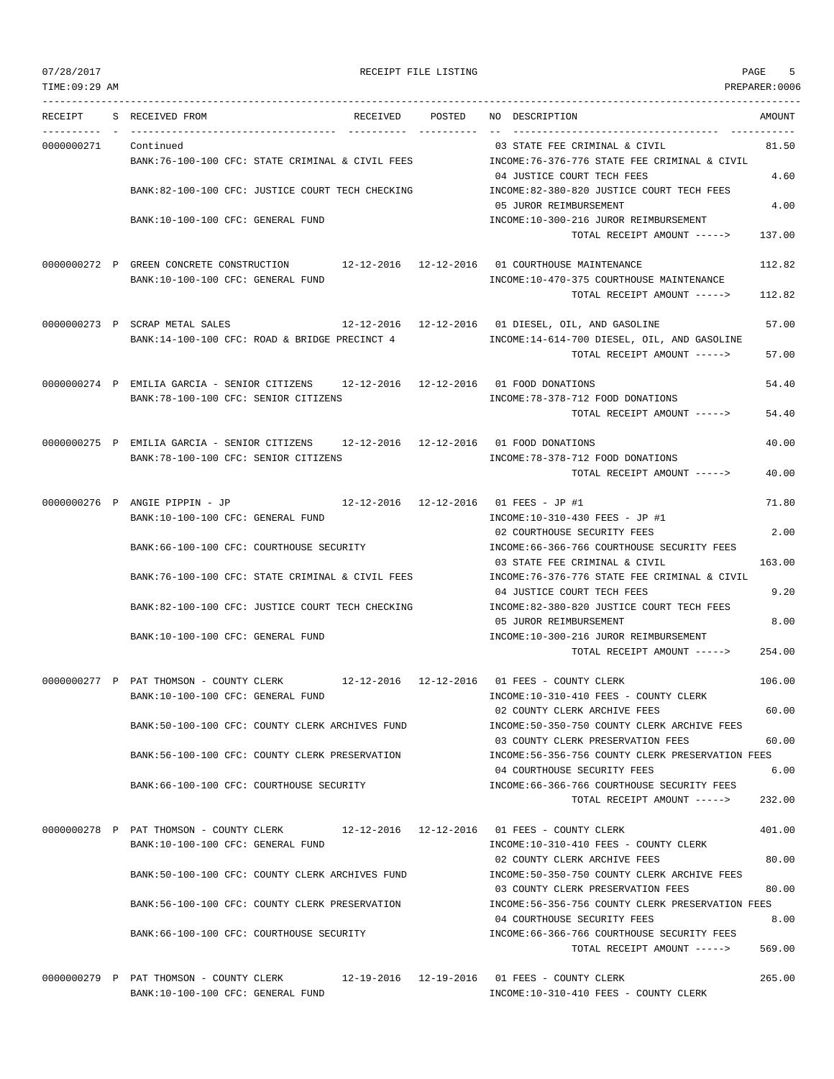TIME:09:29 AM PREPARER:0006 --------------------------------------------------------------------------------------------------------------------------------- RECEIPT S RECEIVED FROM THE RECEIVED POSTED NO DESCRIPTION THE RECEIVED AMOUNT ---------- - ----------------------------------- ---------- ---------- -- ----------------------------------- ----------- 0000000271 Continued 03 STATE FEE CRIMINAL & CIVIL 81.50 BANK:76-100-100 CFC: STATE CRIMINAL & CIVIL FEES INCOME:76-376-776 STATE FEE CRIMINAL & CIVIL 04 JUSTICE COURT TECH FEES 4.60 BANK:82-100-100 CFC: JUSTICE COURT TECH CHECKING  $\qquad \qquad \text{INCOME:82-380-820}\text{ JUSTICE COURT TECH FEES}$ 05 JUROR REIMBURSEMENT 4.00 BANK:10-100-100 CFC: GENERAL FUND INCOME:10-300-216 JUROR REIMBURSEMENT TOTAL RECEIPT AMOUNT -----> 137.00 0000000272 P GREEN CONCRETE CONSTRUCTION 12-12-2016 12-12-2016 01 COURTHOUSE MAINTENANCE 112.82 BANK:10-100-100 CFC: GENERAL FUND **INCOME:10-470-375 COURTHOUSE MAINTENANCE** TOTAL RECEIPT AMOUNT -----> 112.82 0000000273 P SCRAP METAL SALES 12-12-2016 12-12-2016 01 DIESEL, OIL, AND GASOLINE 57.00 BANK:14-100-100 CFC: ROAD & BRIDGE PRECINCT 4 INCOME:14-614-700 DIESEL, OIL, AND GASOLINE TOTAL RECEIPT AMOUNT -----> 57.00 0000000274 P EMILIA GARCIA - SENIOR CITIZENS 12-12-2016 12-12-2016 01 FOOD DONATIONS 54.40 BANK:78-100-100 CFC: SENIOR CITIZENS INCOME:78-378-712 FOOD DONATIONS TOTAL RECEIPT AMOUNT -----> 54.40 0000000275 P EMILIA GARCIA - SENIOR CITIZENS 12-12-2016 12-12-2016 01 FOOD DONATIONS 40.00 BANK:78-100-100 CFC: SENIOR CITIZENS INCOME:78-378-712 FOOD DONATIONS TOTAL RECEIPT AMOUNT -----> 40.00 0000000276 P ANGIE PIPPIN - JP 12-12-2016 12-12-2016 01 FEES - JP #1 71.80 BANK:10-100-100 CFC: GENERAL FUND INCOME:10-310-430 FEES - JP #1 02 COURTHOUSE SECURITY FEES 2.00 BANK:66-100-100 CFC: COURTHOUSE SECURITY **INCOME:66-366-766 COURTHOUSE SECURITY FEES** 03 STATE FEE CRIMINAL & CIVIL 163.00 BANK:76-100-100 CFC: STATE CRIMINAL & CIVIL FEES INCOME:76-376-776 STATE FEE CRIMINAL & CIVIL 04 JUSTICE COURT TECH FEES 9.20 BANK:82-100-100 CFC: JUSTICE COURT TECH CHECKING INCOME:82-380-820 JUSTICE COURT TECH FEES 05 JUROR REIMBURSEMENT 8.00 BANK:10-100-100 CFC: GENERAL FUND INCOME:10-300-216 JUROR REIMBURSEMENT TOTAL RECEIPT AMOUNT -----> 254.00 0000000277 P PAT THOMSON - COUNTY CLERK 12-12-2016 12-12-2016 01 FEES - COUNTY CLERK 106.00 BANK:10-100-100 CFC: GENERAL FUND INCOME:10-310-410 FEES - COUNTY CLERK 02 COUNTY CLERK ARCHIVE FEES 60.00 BANK:50-100-100 CFC: COUNTY CLERK ARCHIVES FUND INCOME:50-350-750 COUNTY CLERK ARCHIVE FEES 03 COUNTY CLERK PRESERVATION FEES 60.00 BANK:56-100-100 CFC: COUNTY CLERK PRESERVATION INCOME:56-356-756 COUNTY CLERK PRESERVATION FEES 04 COURTHOUSE SECURITY FEES 6.00 BANK:66-100-100 CFC: COURTHOUSE SECURITY INCOME:66-366-766 COURTHOUSE SECURITY FEES TOTAL RECEIPT AMOUNT -----> 232.00 0000000278 P PAT THOMSON - COUNTY CLERK 12-12-2016 12-12-2016 01 FEES - COUNTY CLERK 401.00 BANK:10-100-100 CFC: GENERAL FUND INCOME:10-310-410 FEES - COUNTY CLERK 02 COUNTY CLERK ARCHIVE FEES 80.00 BANK:50-100-100 CFC: COUNTY CLERK ARCHIVES FUND INCOME:50-350-750 COUNTY CLERK ARCHIVE FEES 03 COUNTY CLERK PRESERVATION FEES 80.00 BANK:56-100-100 CFC: COUNTY CLERK PRESERVATION INCOME:56-356-756 COUNTY CLERK PRESERVATION FEES 04 COURTHOUSE SECURITY FEES 8.00 BANK:66-100-100 CFC: COURTHOUSE SECURITY INCOME:66-366-766 COURTHOUSE SECURITY FEES TOTAL RECEIPT AMOUNT -----> 569.00

0000000279 P PAT THOMSON - COUNTY CLERK 12-19-2016 12-19-2016 01 FEES - COUNTY CLERK 265.00 BANK:10-100-100 CFC: GENERAL FUND INCOME:10-310-410 FEES - COUNTY CLERK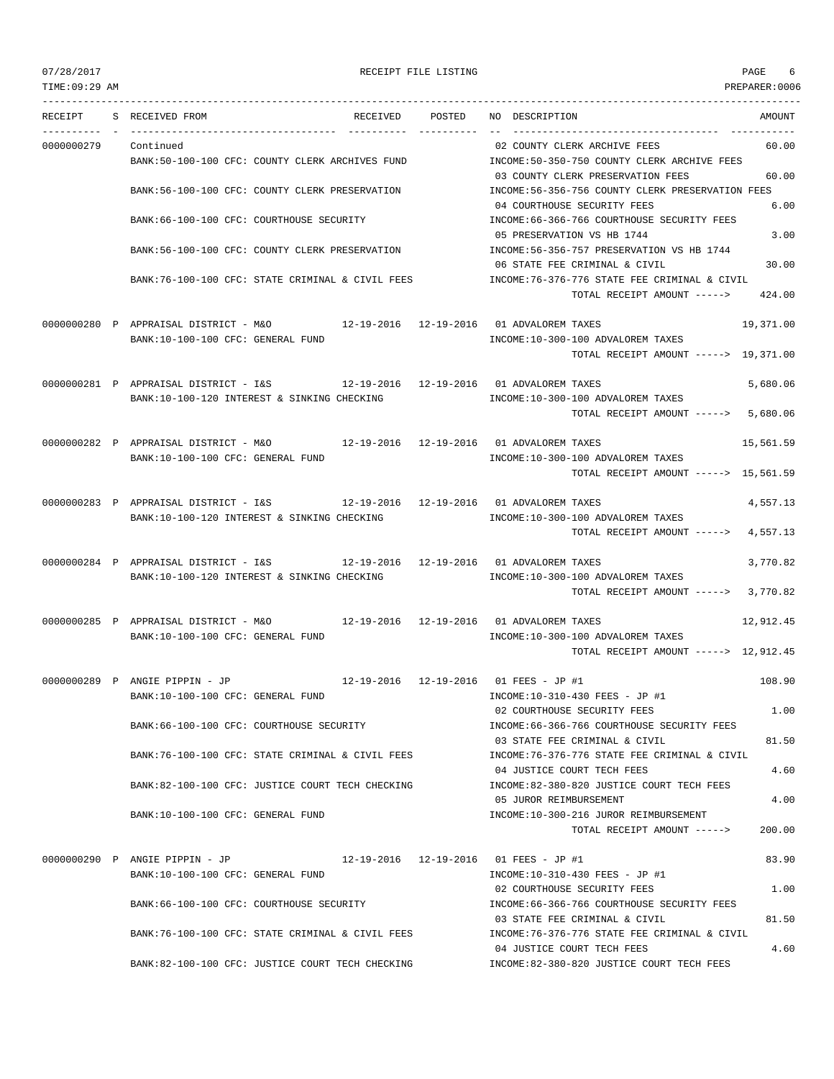TIME:09:29 AM PREPARER:0006

### 07/28/2017 RECEIPT FILE LISTING PAGE 6

--------------------------------------------------------------------------------------------------------------------------------- RECEIPT S RECEIVED FROM THE RECEIVED POSTED NO DESCRIPTION THE RECEIVED AMOUNT ---------- - ----------------------------------- ---------- ---------- -- ----------------------------------- ----------- 0000000279 Continued 02 COUNTY CLERK ARCHIVE FEES 60.00 BANK:50-100-100 CFC: COUNTY CLERK ARCHIVES FUND INCOME:50-350-750 COUNTY CLERK ARCHIVE FEES 03 COUNTY CLERK PRESERVATION FEES 60.00 BANK:56-100-100 CFC: COUNTY CLERK PRESERVATION INCOME:56-356-756 COUNTY CLERK PRESERVATION FEES 04 COURTHOUSE SECURITY FEES 6.00 BANK:66-100-100 CFC: COURTHOUSE SECURITY **INCOME:66-366-766 COURTHOUSE SECURITY FEES** 05 PRESERVATION VS HB 1744 3.00 BANK:56-100-100 CFC: COUNTY CLERK PRESERVATION INCOME:56-356-757 PRESERVATION VS HB 1744 06 STATE FEE CRIMINAL & CIVIL 30.00 BANK:76-100-100 CFC: STATE CRIMINAL & CIVIL FEES INCOME:76-376-776 STATE FEE CRIMINAL & CIVIL TOTAL RECEIPT AMOUNT -----> 424.00 0000000280 P APPRAISAL DISTRICT - M&O 12-19-2016 12-19-2016 01 ADVALOREM TAXES 19,371.00 BANK:10-100-100 CFC: GENERAL FUND INCOME:10-300-100 ADVALOREM TAXES TOTAL RECEIPT AMOUNT -----> 19,371.00 0000000281 P APPRAISAL DISTRICT - I&S 12-19-2016 12-19-2016 01 ADVALOREM TAXES 5,680.06 BANK:10-100-120 INTEREST & SINKING CHECKING  $INCOME:10-300-100$  ADVALOREM TAXES TOTAL RECEIPT AMOUNT -----> 5,680.06 0000000282 P APPRAISAL DISTRICT - M&O 12-19-2016 12-19-2016 01 ADVALOREM TAXES 15,561.59 BANK:10-100-100 CFC: GENERAL FUND INCOME:10-300-100 ADVALOREM TAXES TOTAL RECEIPT AMOUNT -----> 15,561.59 0000000283 P APPRAISAL DISTRICT - I&S 12-19-2016 12-19-2016 01 ADVALOREM TAXES 4,557.13 BANK:10-100-120 INTEREST & SINKING CHECKING  $INCOME:10-300-100$  ADVALOREM TAXES TOTAL RECEIPT AMOUNT -----> 4,557.13 0000000284 P APPRAISAL DISTRICT - I&S 12-19-2016 12-19-2016 01 ADVALOREM TAXES 3,770.82 BANK:10-100-120 INTEREST & SINKING CHECKING INCOME:10-300-100 ADVALOREM TAXES TOTAL RECEIPT AMOUNT -----> 3,770.82 0000000285 P APPRAISAL DISTRICT - M&O 12-19-2016 12-19-2016 01 ADVALOREM TAXES 12,912.45 BANK:10-100-100 CFC: GENERAL FUND **INCOME:10-300-100 ADVALOREM TAXES** TOTAL RECEIPT AMOUNT -----> 12,912.45 0000000289 P ANGIE PIPPIN - JP 12-19-2016 12-19-2016 01 FEES - JP #1 108.90 BANK:10-100-100 CFC: GENERAL FUND INCOME:10-310-430 FEES - JP #1 02 COURTHOUSE SECURITY FEES 1.00 BANK:66-100-100 CFC: COURTHOUSE SECURITY INCOME:66-366-766 COURTHOUSE SECURITY FEES 03 STATE FEE CRIMINAL & CIVIL 81.50 BANK:76-100-100 CFC: STATE CRIMINAL & CIVIL FEES INCOME:76-376-776 STATE FEE CRIMINAL & CIVIL 04 JUSTICE COURT TECH FEES 4.60 BANK:82-100-100 CFC: JUSTICE COURT TECH CHECKING INCOME:82-380-820 JUSTICE COURT TECH FEES 05 JUROR REIMBURSEMENT 4.00 BANK:10-100-100 CFC: GENERAL FUND INCOME:10-300-216 JUROR REIMBURSEMENT TOTAL RECEIPT AMOUNT -----> 200.00 0000000290 P ANGIE PIPPIN - JP 12-19-2016 12-19-2016 01 FEES - JP #1 83.90 BANK:10-100-100 CFC: GENERAL FUND INCOME:10-310-430 FEES - JP #1 02 COURTHOUSE SECURITY FEES 1.00 BANK:66-100-100 CFC: COURTHOUSE SECURITY INCOME:66-366-766 COURTHOUSE SECURITY FEES 03 STATE FEE CRIMINAL & CIVIL 81.50 BANK:76-100-100 CFC: STATE CRIMINAL & CIVIL FEES INCOME:76-376-776 STATE FEE CRIMINAL & CIVIL 04 JUSTICE COURT TECH FEES 4.60

BANK:82-100-100 CFC: JUSTICE COURT TECH CHECKING INCOME:82-380-820 JUSTICE COURT TECH FEES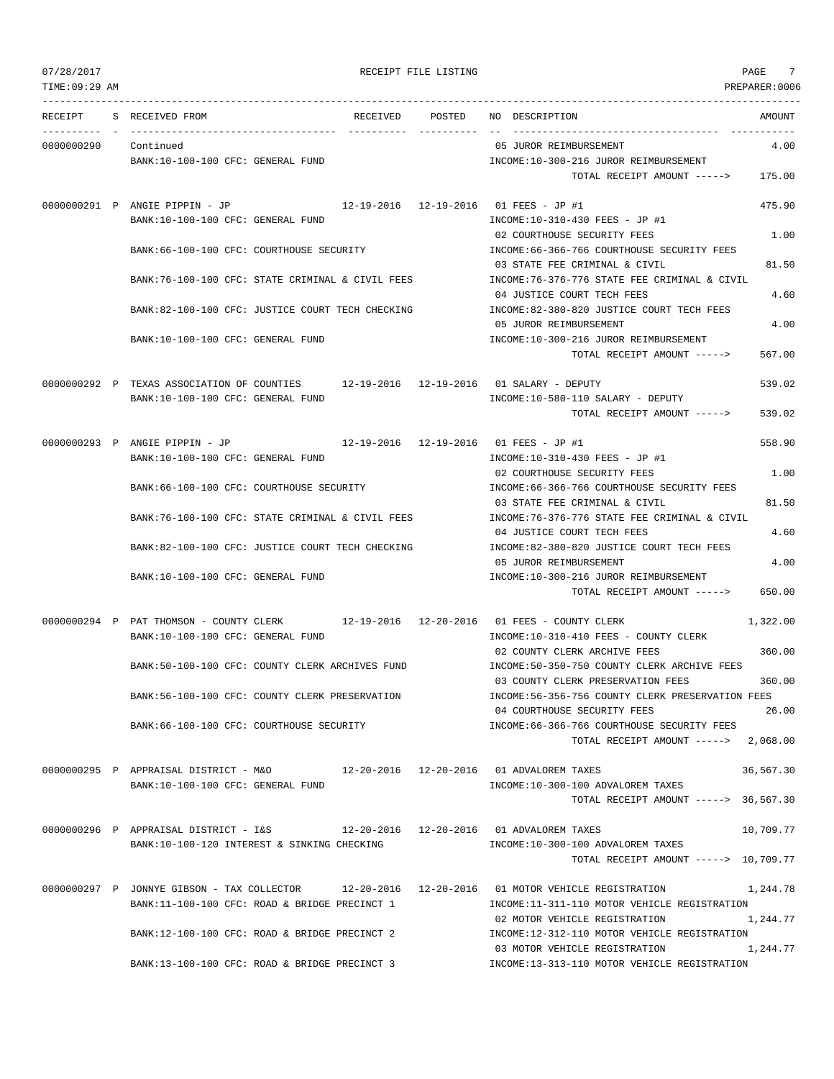TIME:09:29 AM PREPARER:0006 --------------------------------------------------------------------------------------------------------------------------------- RECEIPT S RECEIVED FROM RECEIVED POSTED NO DESCRIPTION AMOUNT ---------- - ----------------------------------- ---------- ---------- -- ----------------------------------- ----------- 0000000290 Continued 05 JUROR REIMBURSEMENT 4.00 BANK:10-100-100 CFC: GENERAL FUND **INCOME:10-300-216 JUROR REIMBURSEMENT** TOTAL RECEIPT AMOUNT -----> 175.00 0000000291 P ANGIE PIPPIN - JP 12-19-2016 12-19-2016 01 FEES - JP #1 475.90 BANK:10-100-100 CFC: GENERAL FUND INCOME:10-310-430 FEES - JP #1 02 COURTHOUSE SECURITY FEES 1.00 BANK:66-100-100 CFC: COURTHOUSE SECURITY INCOME:66-366-766 COURTHOUSE SECURITY FEES 03 STATE FEE CRIMINAL & CIVIL 81.50 BANK:76-100-100 CFC: STATE CRIMINAL & CIVIL FEES INCOME:76-376-776 STATE FEE CRIMINAL & CIVIL 04 JUSTICE COURT TECH FEES 4.60 BANK:82-100-100 CFC: JUSTICE COURT TECH CHECKING INCOME:82-380-820 JUSTICE COURT TECH FEES 05 JUROR REIMBURSEMENT 4.00 BANK:10-100-100 CFC: GENERAL FUND INCOME:10-300-216 JUROR REIMBURSEMENT TOTAL RECEIPT AMOUNT -----> 567.00 0000000292 P TEXAS ASSOCIATION OF COUNTIES 12-19-2016 12-19-2016 01 SALARY - DEPUTY 539.02 BANK:10-100-100 CFC: GENERAL FUND INCOME:10-580-110 SALARY - DEPUTY TOTAL RECEIPT AMOUNT -----> 539.02 0000000293 P ANGIE PIPPIN - JP 12-19-2016 12-19-2016 01 FEES - JP #1 558.90 BANK:10-100-100 CFC: GENERAL FUND INCOME:10-310-430 FEES - JP #1 02 COURTHOUSE SECURITY FEES 1.00 BANK:66-100-100 CFC: COURTHOUSE SECURITY **INCOME:66-366-766 COURTHOUSE SECURITY FEES** 03 STATE FEE CRIMINAL & CIVIL 81.50 BANK:76-100-100 CFC: STATE CRIMINAL & CIVIL FEES INCOME:76-376-776 STATE FEE CRIMINAL & CIVIL 04 JUSTICE COURT TECH FEES 4.60 BANK:82-100-100 CFC: JUSTICE COURT TECH CHECKING INCOME:82-380-820 JUSTICE COURT TECH FEES 05 JUROR REIMBURSEMENT 4.00 BANK:10-100-100 CFC: GENERAL FUND INCOME:10-300-216 JUROR REIMBURSEMENT TOTAL RECEIPT AMOUNT -----> 650.00 0000000294 P PAT THOMSON - COUNTY CLERK 12-19-2016 12-20-2016 01 FEES - COUNTY CLERK 1,322.00 BANK:10-100-100 CFC: GENERAL FUND SANK:10-310-410 FEES - COUNTY CLERK 02 COUNTY CLERK ARCHIVE FEES 360.00 BANK:50-100-100 CFC: COUNTY CLERK ARCHIVES FUND INCOME:50-350-750 COUNTY CLERK ARCHIVE FEES 03 COUNTY CLERK PRESERVATION FEES 360.00 BANK:56-100-100 CFC: COUNTY CLERK PRESERVATION INCOME:56-356-756 COUNTY CLERK PRESERVATION FEES 04 COURTHOUSE SECURITY FEES 26.00 BANK:66-100-100 CFC: COURTHOUSE SECURITY INCOME:66-366-766 COURTHOUSE SECURITY FEES TOTAL RECEIPT AMOUNT -----> 2,068.00 0000000295 P APPRAISAL DISTRICT - M&O 12-20-2016 12-20-2016 01 ADVALOREM TAXES 36,567.30 BANK:10-100-100 CFC: GENERAL FUND INCOME:10-300-100 ADVALOREM TAXES TOTAL RECEIPT AMOUNT -----> 36,567.30 0000000296 P APPRAISAL DISTRICT - I&S 12-20-2016 12-20-2016 01 ADVALOREM TAXES 10,709.77 BANK:10-100-120 INTEREST & SINKING CHECKING  $INCOME:10-300-100$  ADVALOREM TAXES TOTAL RECEIPT AMOUNT -----> 10,709.77 0000000297 P JONNYE GIBSON - TAX COLLECTOR 12-20-2016 12-20-2016 01 MOTOR VEHICLE REGISTRATION 1,244.78 BANK:11-100-100 CFC: ROAD & BRIDGE PRECINCT 1 INCOME:11-311-110 MOTOR VEHICLE REGISTRATION 02 MOTOR VEHICLE REGISTRATION 1,244.77 BANK:12-100-100 CFC: ROAD & BRIDGE PRECINCT 2 INCOME:12-312-110 MOTOR VEHICLE REGISTRATION 03 MOTOR VEHICLE REGISTRATION 1,244.77 BANK:13-100-100 CFC: ROAD & BRIDGE PRECINCT 3 INCOME:13-313-110 MOTOR VEHICLE REGISTRATION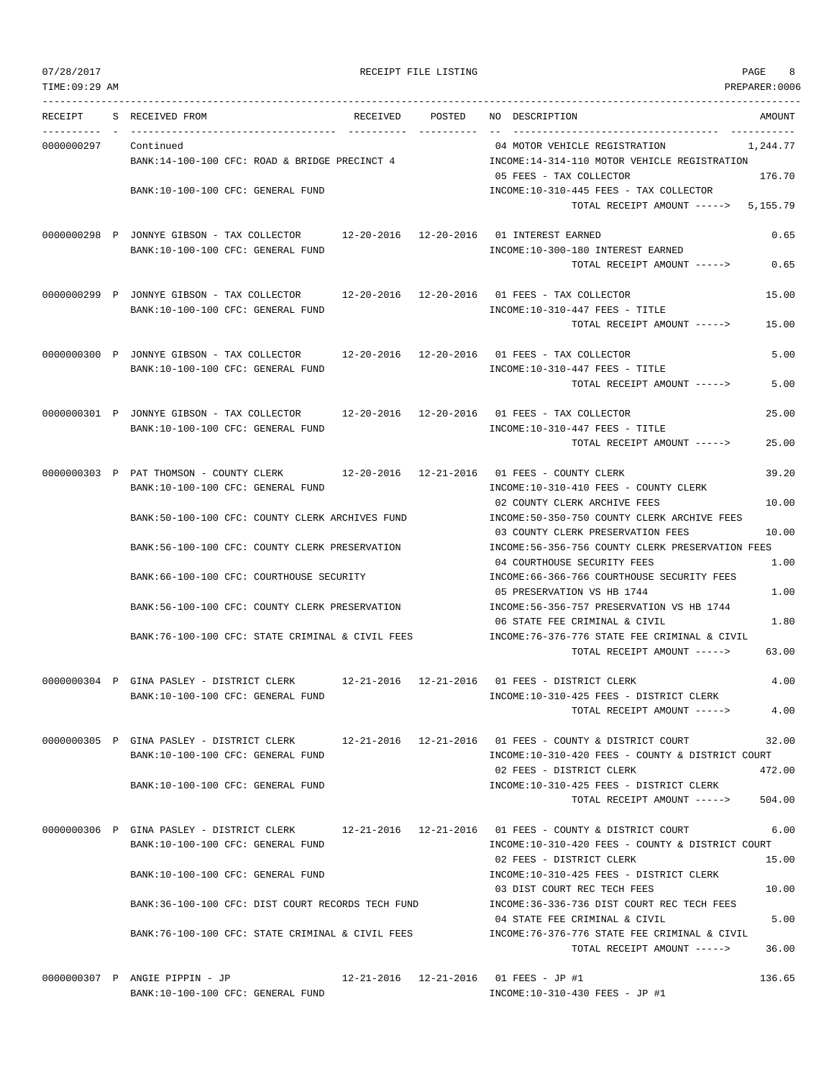| TIME:09:29 AM |                                                                                                                                        |          |        |                                                                                                               | PREPARER:0006            |
|---------------|----------------------------------------------------------------------------------------------------------------------------------------|----------|--------|---------------------------------------------------------------------------------------------------------------|--------------------------|
| RECEIPT       | S RECEIVED FROM                                                                                                                        | RECEIVED | POSTED | NO DESCRIPTION                                                                                                | AMOUNT                   |
| 0000000297    | Continued<br>BANK:14-100-100 CFC: ROAD & BRIDGE PRECINCT 4                                                                             |          |        | 04 MOTOR VEHICLE REGISTRATION<br>INCOME:14-314-110 MOTOR VEHICLE REGISTRATION                                 | ------------<br>1,244.77 |
|               | BANK:10-100-100 CFC: GENERAL FUND                                                                                                      |          |        | 05 FEES - TAX COLLECTOR<br>INCOME:10-310-445 FEES - TAX COLLECTOR                                             | 176.70                   |
|               |                                                                                                                                        |          |        | TOTAL RECEIPT AMOUNT -----> 5,155.79                                                                          |                          |
|               | 0000000298 P JONNYE GIBSON - TAX COLLECTOR 12-20-2016 12-20-2016 01 INTEREST EARNED<br>BANK:10-100-100 CFC: GENERAL FUND               |          |        | INCOME:10-300-180 INTEREST EARNED<br>TOTAL RECEIPT AMOUNT ----->                                              | 0.65<br>0.65             |
|               |                                                                                                                                        |          |        |                                                                                                               |                          |
|               | 0000000299 P JONNYE GIBSON - TAX COLLECTOR<br>BANK:10-100-100 CFC: GENERAL FUND                                                        |          |        | 12-20-2016  12-20-2016  01 FEES - TAX COLLECTOR<br>INCOME:10-310-447 FEES - TITLE                             | 15.00                    |
|               |                                                                                                                                        |          |        | TOTAL RECEIPT AMOUNT ----->                                                                                   | 15.00                    |
|               | 0000000300 P JONNYE GIBSON - TAX COLLECTOR 12-20-2016 12-20-2016 01 FEES - TAX COLLECTOR<br>BANK:10-100-100 CFC: GENERAL FUND          |          |        | $INCOME: 10-310-447$ FEES - TITLE                                                                             | 5.00                     |
|               |                                                                                                                                        |          |        | TOTAL RECEIPT AMOUNT ----->                                                                                   | 5.00                     |
|               | 0000000301 P JONNYE GIBSON - TAX COLLECTOR 12-20-2016 12-20-2016 01 FEES - TAX COLLECTOR<br>BANK:10-100-100 CFC: GENERAL FUND          |          |        | INCOME:10-310-447 FEES - TITLE                                                                                | 25.00                    |
|               |                                                                                                                                        |          |        | TOTAL RECEIPT AMOUNT ----->                                                                                   | 25.00                    |
|               | 0000000303 P PAT THOMSON - COUNTY CLERK                                                                                                |          |        | 12-20-2016  12-21-2016  01 FEES - COUNTY CLERK                                                                | 39.20                    |
|               | BANK:10-100-100 CFC: GENERAL FUND                                                                                                      |          |        | INCOME:10-310-410 FEES - COUNTY CLERK<br>02 COUNTY CLERK ARCHIVE FEES                                         | 10.00                    |
|               | BANK:50-100-100 CFC: COUNTY CLERK ARCHIVES FUND                                                                                        |          |        | INCOME:50-350-750 COUNTY CLERK ARCHIVE FEES                                                                   |                          |
|               | BANK:56-100-100 CFC: COUNTY CLERK PRESERVATION                                                                                         |          |        | 03 COUNTY CLERK PRESERVATION FEES<br>INCOME:56-356-756 COUNTY CLERK PRESERVATION FEES                         | 10.00                    |
|               |                                                                                                                                        |          |        | 04 COURTHOUSE SECURITY FEES                                                                                   | 1.00                     |
|               | BANK:66-100-100 CFC: COURTHOUSE SECURITY                                                                                               |          |        | INCOME: 66-366-766 COURTHOUSE SECURITY FEES<br>05 PRESERVATION VS HB 1744                                     | 1.00                     |
|               | BANK:56-100-100 CFC: COUNTY CLERK PRESERVATION                                                                                         |          |        | INCOME: 56-356-757 PRESERVATION VS HB 1744                                                                    | 1.80                     |
|               | BANK:76-100-100 CFC: STATE CRIMINAL & CIVIL FEES                                                                                       |          |        | 06 STATE FEE CRIMINAL & CIVIL<br>INCOME: 76-376-776 STATE FEE CRIMINAL & CIVIL<br>TOTAL RECEIPT AMOUNT -----> | 63.00                    |
|               |                                                                                                                                        |          |        |                                                                                                               | 4.00                     |
|               | 0000000304 P GINA PASLEY - DISTRICT CLERK 12-21-2016 12-21-2016 01 FEES - DISTRICT CLERK<br>BANK:10-100-100 CFC: GENERAL FUND          |          |        | INCOME:10-310-425 FEES - DISTRICT CLERK                                                                       |                          |
|               |                                                                                                                                        |          |        | TOTAL RECEIPT AMOUNT ----->                                                                                   | 4.00                     |
|               | 0000000305 P GINA PASLEY - DISTRICT CLERK 12-21-2016 12-21-2016 01 FEES - COUNTY & DISTRICT COURT                                      |          |        |                                                                                                               | 32.00                    |
|               | BANK:10-100-100 CFC: GENERAL FUND                                                                                                      |          |        | INCOME:10-310-420 FEES - COUNTY & DISTRICT COURT<br>02 FEES - DISTRICT CLERK                                  | 472.00                   |
|               | BANK:10-100-100 CFC: GENERAL FUND                                                                                                      |          |        | INCOME:10-310-425 FEES - DISTRICT CLERK<br>TOTAL RECEIPT AMOUNT ----->                                        | 504.00                   |
|               | 0000000306 P GINA PASLEY - DISTRICT CLERK 12-21-2016 12-21-2016 01 FEES - COUNTY & DISTRICT COURT<br>BANK:10-100-100 CFC: GENERAL FUND |          |        | INCOME:10-310-420 FEES - COUNTY & DISTRICT COURT                                                              | 6.00                     |
|               |                                                                                                                                        |          |        | 02 FEES - DISTRICT CLERK                                                                                      | 15.00                    |
|               | BANK:10-100-100 CFC: GENERAL FUND                                                                                                      |          |        | INCOME:10-310-425 FEES - DISTRICT CLERK<br>03 DIST COURT REC TECH FEES                                        | 10.00                    |
|               | BANK:36-100-100 CFC: DIST COURT RECORDS TECH FUND                                                                                      |          |        | INCOME: 36-336-736 DIST COURT REC TECH FEES<br>04 STATE FEE CRIMINAL & CIVIL                                  | 5.00                     |
|               | BANK:76-100-100 CFC: STATE CRIMINAL & CIVIL FEES                                                                                       |          |        | INCOME:76-376-776 STATE FEE CRIMINAL & CIVIL<br>TOTAL RECEIPT AMOUNT ----->                                   | 36.00                    |
|               |                                                                                                                                        |          |        |                                                                                                               | 125                      |

0000000307 P ANGIE PIPPIN - JP 12-21-2016 12-21-2016 01 FEES - JP #1 136.65 BANK:10-100-100 CFC: GENERAL FUND INCOME:10-310-430 FEES - JP #1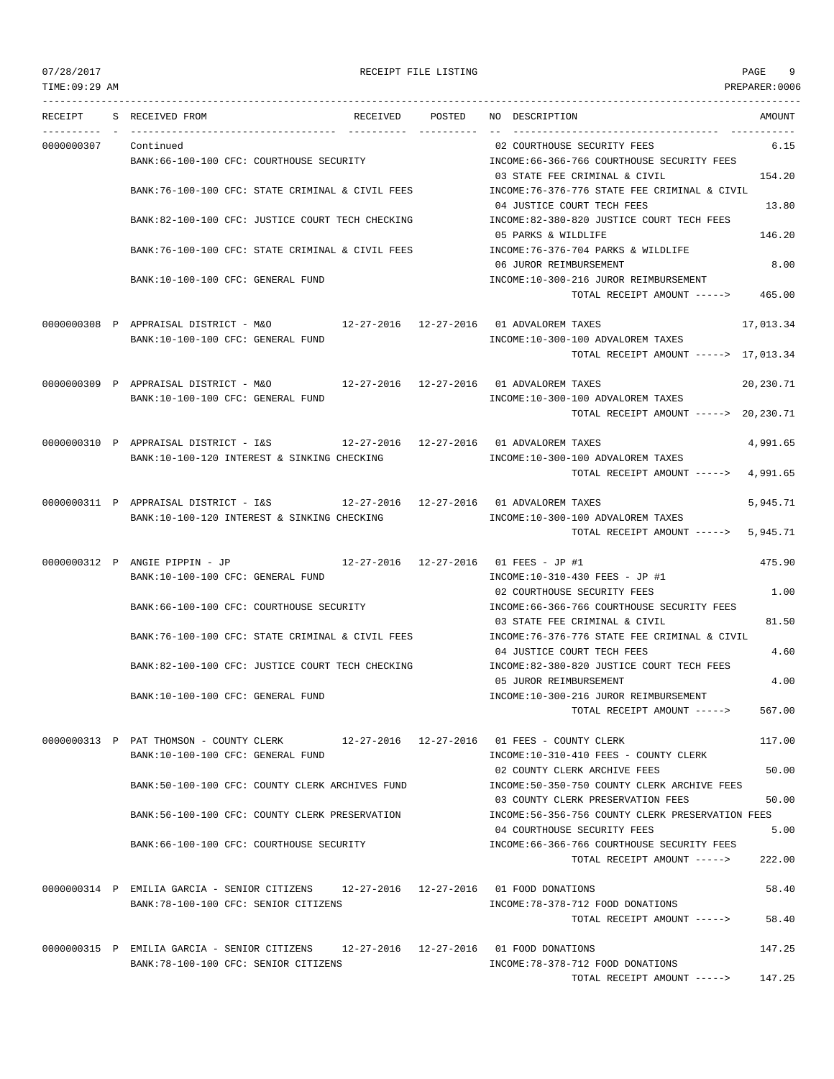TIME:09:29 AM PREPARER:0006

## 07/28/2017 RECEIPT FILE LISTING PAGE 9

TOTAL RECEIPT AMOUNT -----> 147.25

--------------------------------------------------------------------------------------------------------------------------------- RECEIPT S RECEIVED FROM RECEIVED POSTED NO DESCRIPTION AMOUNT ---------- - ----------------------------------- ---------- ---------- -- ----------------------------------- ----------- 0000000307 Continued 02 COURTHOUSE SECURITY FEES 6.15 BANK:66-100-100 CFC: COURTHOUSE SECURITY INCOME:66-366-766 COURTHOUSE SECURITY FEES 03 STATE FEE CRIMINAL & CIVIL 154.20 BANK:76-100-100 CFC: STATE CRIMINAL & CIVIL FEES INCOME:76-376-776 STATE FEE CRIMINAL & CIVIL 04 JUSTICE COURT TECH FEES 13.80 BANK:82-100-100 CFC: JUSTICE COURT TECH CHECKING INCOME:82-380-820 JUSTICE COURT TECH FEES 05 PARKS & WILDLIFE 146.20 BANK:76-100-100 CFC: STATE CRIMINAL & CIVIL FEES INCOME:76-376-704 PARKS & WILDLIFE 06 JUROR REIMBURSEMENT 8.00 BANK:10-100-100 CFC: GENERAL FUND INCOME:10-300-216 JUROR REIMBURSEMENT TOTAL RECEIPT AMOUNT -----> 465.00 0000000308 P APPRAISAL DISTRICT - M&O 12-27-2016 12-27-2016 01 ADVALOREM TAXES 17,013.34 BANK:10-100-100 CFC: GENERAL FUND **INCOME:10-300-100 ADVALOREM TAXES** TOTAL RECEIPT AMOUNT -----> 17,013.34 0000000309 P APPRAISAL DISTRICT - M&O 12-27-2016 12-27-2016 01 ADVALOREM TAXES 20,230.71 BANK:10-100-100 CFC: GENERAL FUND **INCOME:10-300-100 ADVALOREM TAXES** TOTAL RECEIPT AMOUNT -----> 20,230.71 0000000310 P APPRAISAL DISTRICT - I&S 12-27-2016 12-27-2016 01 ADVALOREM TAXES 4,991.65 BANK:10-100-120 INTEREST & SINKING CHECKING **INCOME:10-300-100 ADVALOREM** TAXES TOTAL RECEIPT AMOUNT -----> 4,991.65 0000000311 P APPRAISAL DISTRICT - I&S 12-27-2016 12-27-2016 01 ADVALOREM TAXES 5,945.71 BANK:10-100-120 INTEREST & SINKING CHECKING  $INCOME:10-300-100$  ADVALOREM TAXES TOTAL RECEIPT AMOUNT -----> 5,945.71 0000000312 P ANGIE PIPPIN - JP 12-27-2016 12-27-2016 01 FEES - JP #1 475.90 BANK:10-100-100 CFC: GENERAL FUND INCOME:10-310-430 FEES - JP #1 02 COURTHOUSE SECURITY FEES 1.00 BANK:66-100-100 CFC: COURTHOUSE SECURITY INCOME:66-366-766 COURTHOUSE SECURITY FEES 03 STATE FEE CRIMINAL & CIVIL 81.50 BANK:76-100-100 CFC: STATE CRIMINAL & CIVIL FEES INCOME:76-376-776 STATE FEE CRIMINAL & CIVIL 04 JUSTICE COURT TECH FEES 4.60 BANK:82-100-100 CFC: JUSTICE COURT TECH CHECKING INCOME:82-380-820 JUSTICE COURT TECH FEES 05 JUROR REIMBURSEMENT 4.00 BANK:10-100-100 CFC: GENERAL FUND INCOME:10-300-216 JUROR REIMBURSEMENT TOTAL RECEIPT AMOUNT -----> 567.00 0000000313 P PAT THOMSON - COUNTY CLERK 12-27-2016 12-27-2016 01 FEES - COUNTY CLERK 117.00 BANK:10-100-100 CFC: GENERAL FUND INCOME:10-310-410 FEES - COUNTY CLERK 02 COUNTY CLERK ARCHIVE FEES 50.00 BANK:50-100-100 CFC: COUNTY CLERK ARCHIVES FUND INCOME:50-350-750 COUNTY CLERK ARCHIVE FEES 03 COUNTY CLERK PRESERVATION FEES 50.00 BANK:56-100-100 CFC: COUNTY CLERK PRESERVATION INCOME:56-356-756 COUNTY CLERK PRESERVATION FEES 04 COURTHOUSE SECURITY FEES 5.00 BANK:66-100-100 CFC: COURTHOUSE SECURITY **INCOME:66-366-766 COURTHOUSE SECURITY FEES** TOTAL RECEIPT AMOUNT -----> 222.00 0000000314 P EMILIA GARCIA - SENIOR CITIZENS 12-27-2016 12-27-2016 01 FOOD DONATIONS 58.40 BANK:78-100-100 CFC: SENIOR CITIZENS INCOME:78-378-712 FOOD DONATIONS TOTAL RECEIPT AMOUNT -----> 58.40 0000000315 P EMILIA GARCIA - SENIOR CITIZENS 12-27-2016 12-27-2016 01 FOOD DONATIONS 147.25 BANK:78-100-100 CFC: SENIOR CITIZENS INCOME:78-378-712 FOOD DONATIONS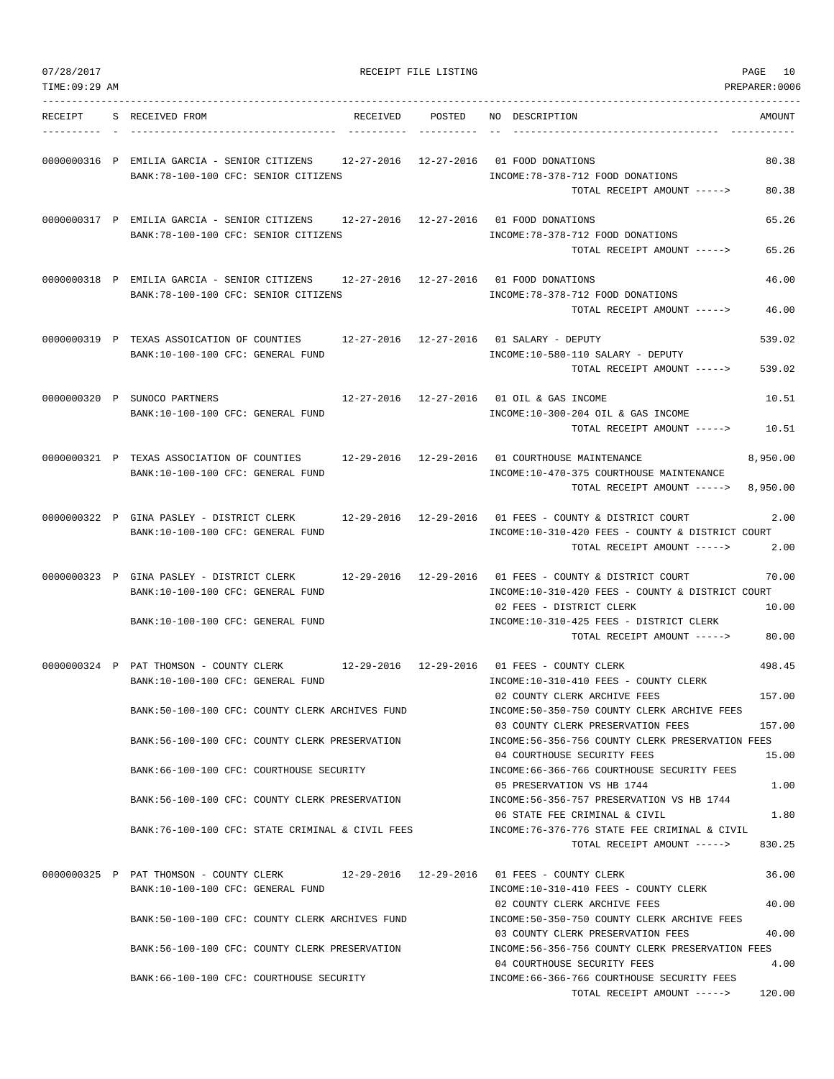| TIME: 09:29 AM |                                                                                                                                                                                                                                                                                                      |                        | PREPARER:0006                                                                                                                                                                                                                                                                                                                                                                                                                                                                            |
|----------------|------------------------------------------------------------------------------------------------------------------------------------------------------------------------------------------------------------------------------------------------------------------------------------------------------|------------------------|------------------------------------------------------------------------------------------------------------------------------------------------------------------------------------------------------------------------------------------------------------------------------------------------------------------------------------------------------------------------------------------------------------------------------------------------------------------------------------------|
| RECEIPT        | S RECEIVED FROM<br>RECEIVED                                                                                                                                                                                                                                                                          | POSTED                 | DESCRIPTION<br>AMOUNT<br>NO.                                                                                                                                                                                                                                                                                                                                                                                                                                                             |
|                | 0000000316 P EMILIA GARCIA - SENIOR CITIZENS<br>BANK: 78-100-100 CFC: SENIOR CITIZENS                                                                                                                                                                                                                | 12-27-2016 12-27-2016  | 01 FOOD DONATIONS<br>80.38<br>INCOME: 78-378-712 FOOD DONATIONS<br>TOTAL RECEIPT AMOUNT -----><br>80.38                                                                                                                                                                                                                                                                                                                                                                                  |
|                | 12-27-2016 12-27-2016<br>0000000317 P EMILIA GARCIA - SENIOR CITIZENS<br>BANK: 78-100-100 CFC: SENIOR CITIZENS                                                                                                                                                                                       |                        | 65.26<br>01 FOOD DONATIONS<br>INCOME: 78-378-712 FOOD DONATIONS<br>TOTAL RECEIPT AMOUNT -----><br>65.26                                                                                                                                                                                                                                                                                                                                                                                  |
|                | 0000000318 P EMILIA GARCIA - SENIOR CITIZENS<br>BANK: 78-100-100 CFC: SENIOR CITIZENS                                                                                                                                                                                                                | 12-27-2016 12-27-2016  | 46.00<br>01 FOOD DONATIONS<br>INCOME: 78-378-712 FOOD DONATIONS<br>TOTAL RECEIPT AMOUNT -----><br>46.00                                                                                                                                                                                                                                                                                                                                                                                  |
|                | 0000000319 P TEXAS ASSOICATION OF COUNTIES<br>BANK:10-100-100 CFC: GENERAL FUND                                                                                                                                                                                                                      | 12-27-2016 12-27-2016  | 539.02<br>01 SALARY - DEPUTY<br>INCOME:10-580-110 SALARY - DEPUTY<br>TOTAL RECEIPT AMOUNT -----><br>539.02                                                                                                                                                                                                                                                                                                                                                                               |
|                | 0000000320 P SUNOCO PARTNERS<br>BANK: 10-100-100 CFC: GENERAL FUND                                                                                                                                                                                                                                   |                        | 12-27-2016  12-27-2016  01 OIL & GAS INCOME<br>10.51<br>INCOME:10-300-204 OIL & GAS INCOME<br>TOTAL RECEIPT AMOUNT -----><br>10.51                                                                                                                                                                                                                                                                                                                                                       |
|                | 0000000321 P TEXAS ASSOCIATION OF COUNTIES<br>BANK:10-100-100 CFC: GENERAL FUND                                                                                                                                                                                                                      | 12-29-2016 12-29-2016  | 01 COURTHOUSE MAINTENANCE<br>8,950.00<br>INCOME:10-470-375 COURTHOUSE MAINTENANCE<br>TOTAL RECEIPT AMOUNT -----><br>8,950.00                                                                                                                                                                                                                                                                                                                                                             |
|                | 0000000322 P GINA PASLEY - DISTRICT CLERK<br>BANK:10-100-100 CFC: GENERAL FUND                                                                                                                                                                                                                       | 12-29-2016  12-29-2016 | 01 FEES - COUNTY & DISTRICT COURT<br>2.00<br>INCOME:10-310-420 FEES - COUNTY & DISTRICT COURT<br>TOTAL RECEIPT AMOUNT -----><br>2.00                                                                                                                                                                                                                                                                                                                                                     |
|                | 0000000323 P GINA PASLEY - DISTRICT CLERK<br>BANK:10-100-100 CFC: GENERAL FUND<br>BANK:10-100-100 CFC: GENERAL FUND                                                                                                                                                                                  | 12-29-2016 12-29-2016  | 01 FEES - COUNTY & DISTRICT COURT<br>70.00<br>INCOME:10-310-420 FEES - COUNTY & DISTRICT COURT<br>02 FEES - DISTRICT CLERK<br>10.00<br>INCOME:10-310-425 FEES - DISTRICT CLERK<br>TOTAL RECEIPT AMOUNT -----><br>80.00                                                                                                                                                                                                                                                                   |
|                | 0000000324 P PAT THOMSON - COUNTY CLERK<br>$12 - 29 - 2016$<br>BANK:10-100-100 CFC: GENERAL FUND<br>BANK:50-100-100 CFC: COUNTY CLERK ARCHIVES FUND<br>BANK:56-100-100 CFC: COUNTY CLERK PRESERVATION<br>BANK: 66-100-100 CFC: COURTHOUSE SECURITY<br>BANK:56-100-100 CFC: COUNTY CLERK PRESERVATION | 12-29-2016             | 498.45<br>01 FEES - COUNTY CLERK<br>INCOME:10-310-410 FEES - COUNTY CLERK<br>02 COUNTY CLERK ARCHIVE FEES<br>157.00<br>INCOME:50-350-750 COUNTY CLERK ARCHIVE FEES<br>03 COUNTY CLERK PRESERVATION FEES<br>157.00<br>INCOME:56-356-756 COUNTY CLERK PRESERVATION FEES<br>04 COURTHOUSE SECURITY FEES<br>15.00<br>INCOME:66-366-766 COURTHOUSE SECURITY FEES<br>05 PRESERVATION VS HB 1744<br>1.00<br>INCOME: 56-356-757 PRESERVATION VS HB 1744<br>06 STATE FEE CRIMINAL & CIVIL<br>1.80 |
|                | BANK:76-100-100 CFC: STATE CRIMINAL & CIVIL FEES                                                                                                                                                                                                                                                     |                        | INCOME:76-376-776 STATE FEE CRIMINAL & CIVIL<br>TOTAL RECEIPT AMOUNT -----><br>830.25                                                                                                                                                                                                                                                                                                                                                                                                    |
|                | 0000000325 P PAT THOMSON - COUNTY CLERK<br>BANK:10-100-100 CFC: GENERAL FUND<br>BANK:50-100-100 CFC: COUNTY CLERK ARCHIVES FUND<br>BANK:56-100-100 CFC: COUNTY CLERK PRESERVATION                                                                                                                    |                        | 12-29-2016  12-29-2016  01 FEES - COUNTY CLERK<br>36.00<br>INCOME:10-310-410 FEES - COUNTY CLERK<br>40.00<br>02 COUNTY CLERK ARCHIVE FEES<br>INCOME:50-350-750 COUNTY CLERK ARCHIVE FEES<br>03 COUNTY CLERK PRESERVATION FEES<br>40.00<br>INCOME:56-356-756 COUNTY CLERK PRESERVATION FEES<br>04 COURTHOUSE SECURITY FEES<br>4.00                                                                                                                                                        |
|                | BANK:66-100-100 CFC: COURTHOUSE SECURITY                                                                                                                                                                                                                                                             |                        | INCOME:66-366-766 COURTHOUSE SECURITY FEES<br>120.00<br>TOTAL RECEIPT AMOUNT ----->                                                                                                                                                                                                                                                                                                                                                                                                      |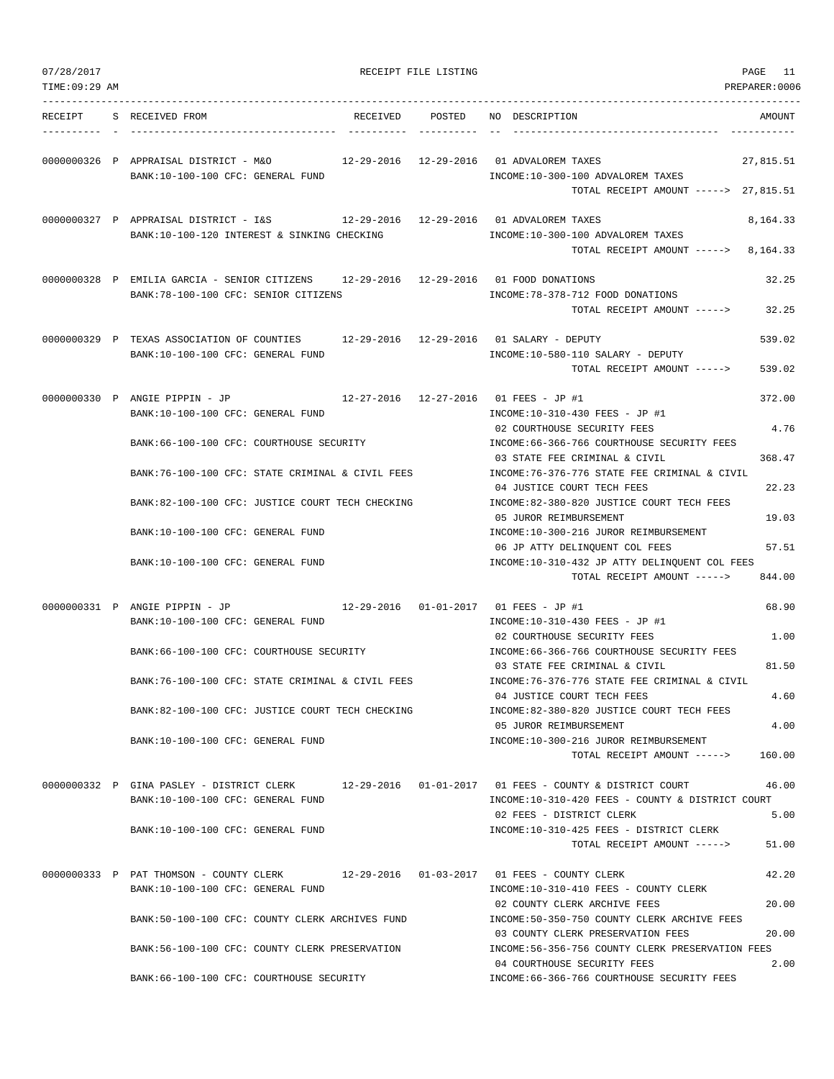| 07/28/2017<br>TIME: 09:29 AM |                                                                                                                              | RECEIPT FILE LISTING |                                                                                                                                             | PAGE<br>11<br>PREPARER:0006 |
|------------------------------|------------------------------------------------------------------------------------------------------------------------------|----------------------|---------------------------------------------------------------------------------------------------------------------------------------------|-----------------------------|
| RECEIPT                      | S RECEIVED FROM<br>RECEIVED                                                                                                  | POSTED               | NO DESCRIPTION                                                                                                                              | AMOUNT                      |
|                              | 0000000326 P APPRAISAL DISTRICT - M&O<br>BANK:10-100-100 CFC: GENERAL FUND                                                   |                      | 12-29-2016  12-29-2016  01 ADVALOREM TAXES<br>INCOME:10-300-100 ADVALOREM TAXES<br>TOTAL RECEIPT AMOUNT -----> 27,815.51                    | 27,815.51                   |
|                              | 0000000327 P APPRAISAL DISTRICT - I&S<br>BANK:10-100-120 INTEREST & SINKING CHECKING                                         |                      | 12-29-2016  12-29-2016  01 ADVALOREM TAXES<br>INCOME:10-300-100 ADVALOREM TAXES<br>TOTAL RECEIPT AMOUNT ----->                              | 8,164.33<br>8,164.33        |
|                              | 0000000328 P EMILIA GARCIA - SENIOR CITIZENS 12-29-2016 12-29-2016 01 FOOD DONATIONS<br>BANK:78-100-100 CFC: SENIOR CITIZENS |                      | INCOME: 78-378-712 FOOD DONATIONS<br>TOTAL RECEIPT AMOUNT ----->                                                                            | 32.25<br>32.25              |
|                              | 0000000329 P TEXAS ASSOCIATION OF COUNTIES<br>BANK:10-100-100 CFC: GENERAL FUND                                              |                      | 12-29-2016  12-29-2016  01 SALARY - DEPUTY<br>INCOME:10-580-110 SALARY - DEPUTY<br>TOTAL RECEIPT AMOUNT ----->                              | 539.02<br>539.02            |
|                              | 0000000330 P ANGIE PIPPIN - JP<br>BANK:10-100-100 CFC: GENERAL FUND                                                          |                      | 12-27-2016  12-27-2016  01 FEES - JP #1<br>INCOME:10-310-430 FEES - JP #1<br>02 COURTHOUSE SECURITY FEES                                    | 372.00<br>4.76              |
|                              | BANK:66-100-100 CFC: COURTHOUSE SECURITY<br>BANK:76-100-100 CFC: STATE CRIMINAL & CIVIL FEES                                 |                      | INCOME:66-366-766 COURTHOUSE SECURITY FEES<br>03 STATE FEE CRIMINAL & CIVIL<br>INCOME: 76-376-776 STATE FEE CRIMINAL & CIVIL                | 368.47                      |
|                              | BANK:82-100-100 CFC: JUSTICE COURT TECH CHECKING                                                                             |                      | 04 JUSTICE COURT TECH FEES<br>INCOME:82-380-820 JUSTICE COURT TECH FEES                                                                     | 22.23                       |
|                              | BANK:10-100-100 CFC: GENERAL FUND                                                                                            |                      | 05 JUROR REIMBURSEMENT<br>INCOME:10-300-216 JUROR REIMBURSEMENT                                                                             | 19.03                       |
|                              | BANK:10-100-100 CFC: GENERAL FUND                                                                                            |                      | 06 JP ATTY DELINQUENT COL FEES<br>INCOME:10-310-432 JP ATTY DELINQUENT COL FEES<br>TOTAL RECEIPT AMOUNT ----->                              | 57.51<br>844.00             |
|                              | 0000000331 P ANGIE PIPPIN - JP<br>BANK:10-100-100 CFC: GENERAL FUND                                                          |                      | 12-29-2016  01-01-2017  01 FEES - JP #1<br>INCOME:10-310-430 FEES - JP #1                                                                   | 68.90                       |
|                              | BANK: 66-100-100 CFC: COURTHOUSE SECURITY                                                                                    |                      | 02 COURTHOUSE SECURITY FEES<br>INCOME:66-366-766 COURTHOUSE SECURITY FEES<br>03 STATE FEE CRIMINAL & CIVIL                                  | 1.00<br>81.50               |
|                              | BANK:76-100-100 CFC: STATE CRIMINAL & CIVIL FEES                                                                             |                      | INCOME: 76-376-776 STATE FEE CRIMINAL & CIVIL<br>04 JUSTICE COURT TECH FEES                                                                 | 4.60                        |
|                              | BANK:82-100-100 CFC: JUSTICE COURT TECH CHECKING                                                                             |                      | INCOME:82-380-820 JUSTICE COURT TECH FEES<br>05 JUROR REIMBURSEMENT                                                                         | 4.00                        |
|                              | BANK:10-100-100 CFC: GENERAL FUND                                                                                            |                      | INCOME:10-300-216 JUROR REIMBURSEMENT<br>TOTAL RECEIPT AMOUNT ----->                                                                        | 160.00                      |
|                              | 0000000332 P GINA PASLEY - DISTRICT CLERK<br>BANK:10-100-100 CFC: GENERAL FUND                                               |                      | $12-29-2016$ $01-01-2017$ 01 FEES - COUNTY & DISTRICT COURT<br>INCOME:10-310-420 FEES - COUNTY & DISTRICT COURT<br>02 FEES - DISTRICT CLERK | 46.00<br>5.00               |
|                              | BANK:10-100-100 CFC: GENERAL FUND                                                                                            |                      | INCOME:10-310-425 FEES - DISTRICT CLERK<br>TOTAL RECEIPT AMOUNT ----->                                                                      | 51.00                       |
|                              | 0000000333 P PAT THOMSON - COUNTY CLERK<br>BANK:10-100-100 CFC: GENERAL FUND                                                 |                      | INCOME:10-310-410 FEES - COUNTY CLERK                                                                                                       | 42.20                       |
|                              | BANK:50-100-100 CFC: COUNTY CLERK ARCHIVES FUND                                                                              |                      | 02 COUNTY CLERK ARCHIVE FEES<br>INCOME:50-350-750 COUNTY CLERK ARCHIVE FEES<br>03 COUNTY CLERK PRESERVATION FEES                            | 20.00<br>20.00              |
|                              | BANK:56-100-100 CFC: COUNTY CLERK PRESERVATION                                                                               |                      | INCOME:56-356-756 COUNTY CLERK PRESERVATION FEES<br>04 COURTHOUSE SECURITY FEES                                                             | 2.00                        |
|                              | BANK:66-100-100 CFC: COURTHOUSE SECURITY                                                                                     |                      | INCOME:66-366-766 COURTHOUSE SECURITY FEES                                                                                                  |                             |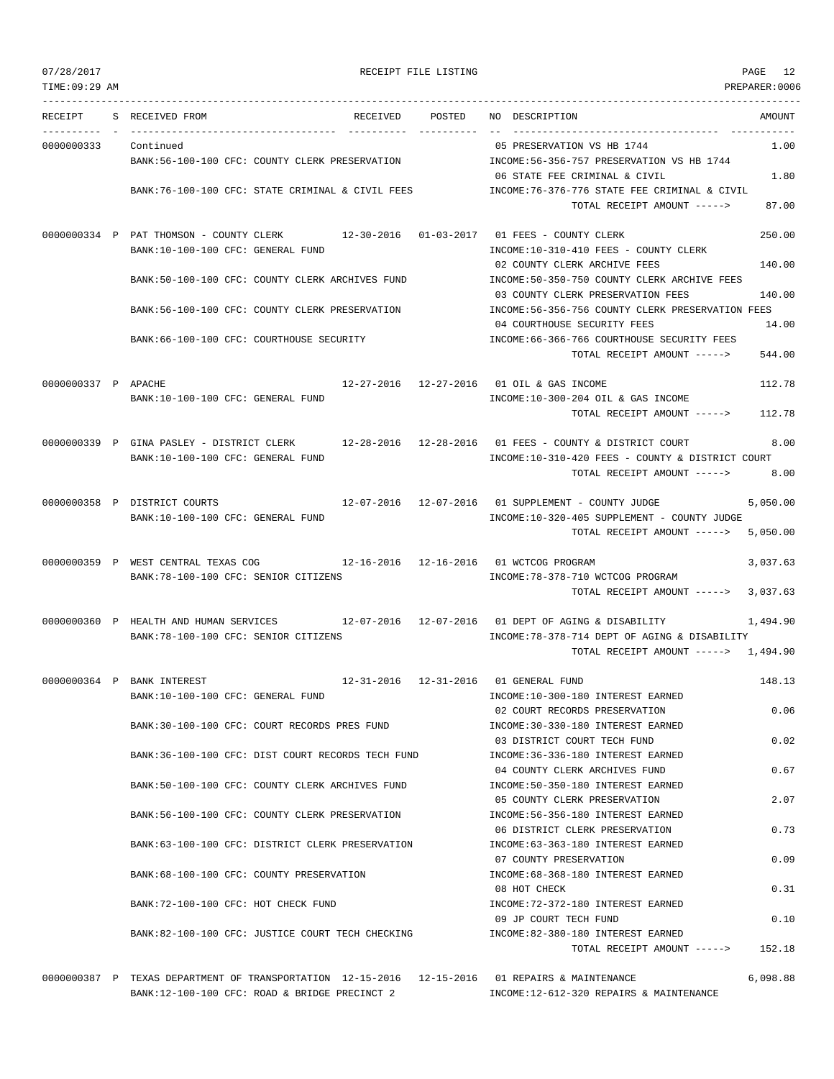| TIME: 09:29 AM      |                                                                                                                                        |                      | PREPARER:0006                                                                                                                                              |
|---------------------|----------------------------------------------------------------------------------------------------------------------------------------|----------------------|------------------------------------------------------------------------------------------------------------------------------------------------------------|
| RECEIPT             | S RECEIVED FROM<br>RECEIVED                                                                                                            | POSTED<br>---------- | NO DESCRIPTION<br>AMOUNT                                                                                                                                   |
| 0000000333          | Continued<br>BANK:56-100-100 CFC: COUNTY CLERK PRESERVATION                                                                            |                      | 05 PRESERVATION VS HB 1744<br>1.00<br>INCOME: 56-356-757 PRESERVATION VS HB 1744                                                                           |
|                     | BANK:76-100-100 CFC: STATE CRIMINAL & CIVIL FEES                                                                                       |                      | 1.80<br>06 STATE FEE CRIMINAL & CIVIL<br>INCOME:76-376-776 STATE FEE CRIMINAL & CIVIL<br>87.00<br>TOTAL RECEIPT AMOUNT ----->                              |
|                     | 0000000334 P PAT THOMSON - COUNTY CLERK<br>BANK:10-100-100 CFC: GENERAL FUND                                                           |                      | 250.00<br>12-30-2016  01-03-2017  01 FEES - COUNTY CLERK<br>INCOME:10-310-410 FEES - COUNTY CLERK                                                          |
|                     | BANK:50-100-100 CFC: COUNTY CLERK ARCHIVES FUND                                                                                        |                      | 140.00<br>02 COUNTY CLERK ARCHIVE FEES<br>INCOME:50-350-750 COUNTY CLERK ARCHIVE FEES<br>03 COUNTY CLERK PRESERVATION FEES<br>140.00                       |
|                     | BANK:56-100-100 CFC: COUNTY CLERK PRESERVATION                                                                                         |                      | INCOME:56-356-756 COUNTY CLERK PRESERVATION FEES<br>04 COURTHOUSE SECURITY FEES<br>14.00                                                                   |
|                     | BANK:66-100-100 CFC: COURTHOUSE SECURITY                                                                                               |                      | INCOME: 66-366-766 COURTHOUSE SECURITY FEES<br>TOTAL RECEIPT AMOUNT -----><br>544.00                                                                       |
| 0000000337 P APACHE | BANK:10-100-100 CFC: GENERAL FUND                                                                                                      |                      | 112.78<br>12-27-2016  12-27-2016  01 OIL & GAS INCOME<br>INCOME:10-300-204 OIL & GAS INCOME<br>TOTAL RECEIPT AMOUNT -----> 112.78                          |
|                     | 0000000339 P GINA PASLEY - DISTRICT CLERK 12-28-2016 12-28-2016 01 FEES - COUNTY & DISTRICT COURT<br>BANK:10-100-100 CFC: GENERAL FUND |                      | 8.00<br>INCOME:10-310-420 FEES - COUNTY & DISTRICT COURT<br>8.00<br>TOTAL RECEIPT AMOUNT ----->                                                            |
|                     | 0000000358 P DISTRICT COURTS<br>BANK:10-100-100 CFC: GENERAL FUND                                                                      |                      | 12-07-2016  12-07-2016  01 SUPPLEMENT - COUNTY JUDGE<br>5,050.00<br>INCOME:10-320-405 SUPPLEMENT - COUNTY JUDGE<br>5,050.00<br>TOTAL RECEIPT AMOUNT -----> |
|                     | 0000000359 P WEST CENTRAL TEXAS COG 12-16-2016 12-16-2016 01 WCTCOG PROGRAM<br>BANK:78-100-100 CFC: SENIOR CITIZENS                    |                      | 3,037.63<br>INCOME: 78-378-710 WCTCOG PROGRAM<br>TOTAL RECEIPT AMOUNT -----><br>3,037.63                                                                   |
|                     | 0000000360 P HEALTH AND HUMAN SERVICES 12-07-2016 12-07-2016 01 DEPT OF AGING & DISABILITY<br>BANK:78-100-100 CFC: SENIOR CITIZENS     |                      | 1,494.90<br>INCOME: 78-378-714 DEPT OF AGING & DISABILITY<br>TOTAL RECEIPT AMOUNT -----> 1,494.90                                                          |
|                     | 0000000364 P BANK INTEREST<br>BANK:10-100-100 CFC: GENERAL FUND                                                                        |                      | 12-31-2016 12-31-2016 01 GENERAL FUND<br>148.13<br>INCOME:10-300-180 INTEREST EARNED                                                                       |
|                     | BANK:30-100-100 CFC: COURT RECORDS PRES FUND                                                                                           |                      | 0.06<br>02 COURT RECORDS PRESERVATION<br>INCOME: 30-330-180 INTEREST EARNED                                                                                |
|                     | BANK:36-100-100 CFC: DIST COURT RECORDS TECH FUND                                                                                      |                      | 03 DISTRICT COURT TECH FUND<br>0.02<br>INCOME: 36-336-180 INTEREST EARNED<br>04 COUNTY CLERK ARCHIVES FUND<br>0.67                                         |
|                     | BANK:50-100-100 CFC: COUNTY CLERK ARCHIVES FUND                                                                                        |                      | INCOME: 50-350-180 INTEREST EARNED<br>05 COUNTY CLERK PRESERVATION<br>2.07                                                                                 |
|                     | BANK:56-100-100 CFC: COUNTY CLERK PRESERVATION                                                                                         |                      | INCOME: 56-356-180 INTEREST EARNED<br>0.73<br>06 DISTRICT CLERK PRESERVATION                                                                               |
|                     | BANK:63-100-100 CFC: DISTRICT CLERK PRESERVATION                                                                                       |                      | INCOME: 63-363-180 INTEREST EARNED<br>0.09<br>07 COUNTY PRESERVATION                                                                                       |
|                     | BANK:68-100-100 CFC: COUNTY PRESERVATION                                                                                               |                      | INCOME: 68-368-180 INTEREST EARNED<br>08 HOT CHECK<br>0.31                                                                                                 |
|                     | BANK: 72-100-100 CFC: HOT CHECK FUND                                                                                                   |                      | INCOME: 72-372-180 INTEREST EARNED<br>09 JP COURT TECH FUND<br>0.10                                                                                        |
|                     | BANK:82-100-100 CFC: JUSTICE COURT TECH CHECKING                                                                                       |                      | INCOME:82-380-180 INTEREST EARNED<br>TOTAL RECEIPT AMOUNT -----><br>152.18                                                                                 |

0000000387 P TEXAS DEPARTMENT OF TRANSPORTATION 12-15-2016 12-15-2016 01 REPAIRS & MAINTENANCE 6,098.88 BANK:12-100-100 CFC: ROAD & BRIDGE PRECINCT 2 INCOME:12-612-320 REPAIRS & MAINTENANCE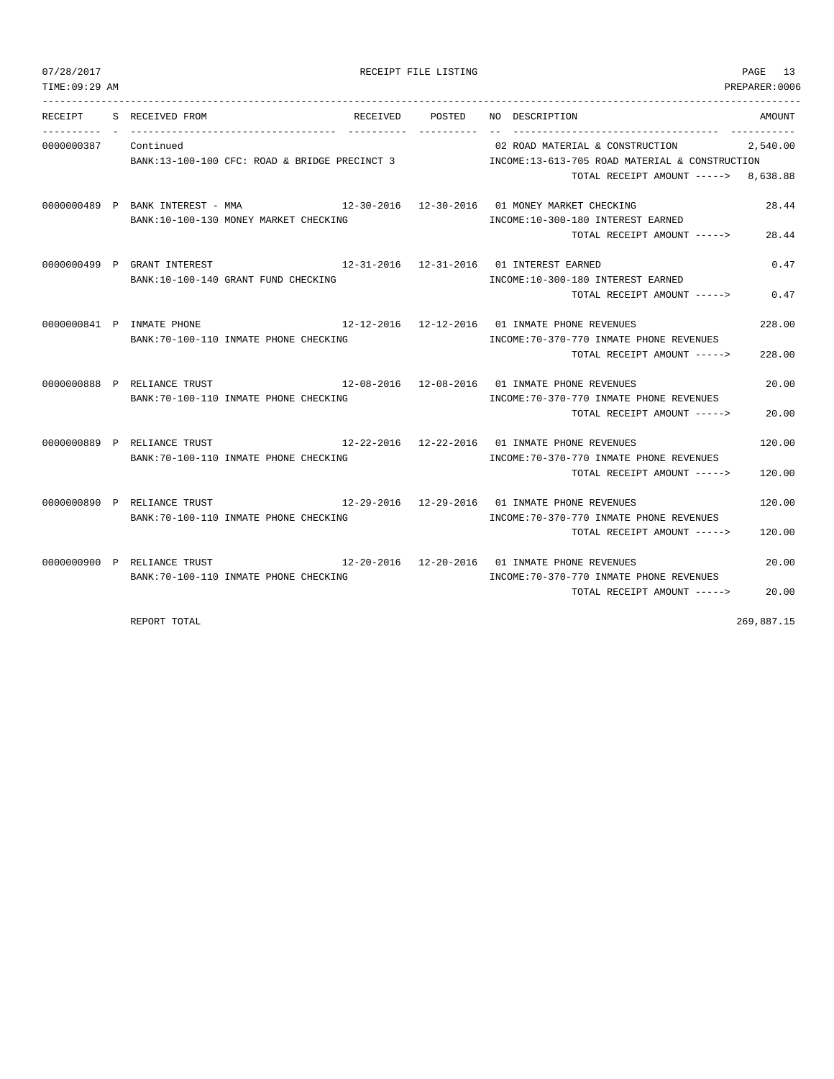| 07/28/2017 | RECEIPT FILE LISTING | $\sim$ $\sim$<br>PAGE |
|------------|----------------------|-----------------------|
|------------|----------------------|-----------------------|

| TIME: 09:29 AM |                                                                                                                            |                 |                                                                                                                           | PREPARER:0006    |
|----------------|----------------------------------------------------------------------------------------------------------------------------|-----------------|---------------------------------------------------------------------------------------------------------------------------|------------------|
|                | RECEIPT S RECEIVED FROM                                                                                                    | RECEIVED POSTED | NO DESCRIPTION                                                                                                            | AMOUNT           |
| 0000000387     | Continued<br>BANK:13-100-100 CFC: ROAD & BRIDGE PRECINCT 3                                                                 |                 | 02 ROAD MATERIAL & CONSTRUCTION<br>INCOME:13-613-705 ROAD MATERIAL & CONSTRUCTION<br>TOTAL RECEIPT AMOUNT -----> 8,638.88 | 2,540.00         |
|                | 0000000489 P BANK INTEREST - MMA<br>BANK:10-100-130 MONEY MARKET CHECKING                                                  |                 | 12-30-2016  12-30-2016  01 MONEY MARKET CHECKING<br>INCOME:10-300-180 INTEREST EARNED<br>TOTAL RECEIPT AMOUNT ----->      | 28.44<br>28.44   |
|                | 0000000499 P GRANT INTEREST<br>12-31-2016  12-31-2016  01 INTEREST EARNED<br>BANK: 10-100-140 GRANT FUND CHECKING          |                 | INCOME:10-300-180 INTEREST EARNED<br>TOTAL RECEIPT AMOUNT -----> 0.47                                                     | 0.47             |
|                | $12-12-2016$ $12-12-2016$ 01 INMATE PHONE REVENUES<br>0000000841 P INMATE PHONE<br>BANK: 70-100-110 INMATE PHONE CHECKING  |                 | INCOME: 70-370-770 INMATE PHONE REVENUES<br>TOTAL RECEIPT AMOUNT ----->                                                   | 228.00<br>228.00 |
|                | 12-08-2016  12-08-2016  01 INMATE PHONE REVENUES<br>0000000888 P RELIANCE TRUST<br>BANK: 70-100-110 INMATE PHONE CHECKING  |                 | INCOME: 70-370-770 INMATE PHONE REVENUES<br>TOTAL RECEIPT AMOUNT ----->                                                   | 20.00<br>20.00   |
|                | 12-22-2016  12-22-2016  01 INMATE PHONE REVENUES<br>0000000889 P RELIANCE TRUST<br>BANK: 70-100-110 INMATE PHONE CHECKING  |                 | INCOME: 70-370-770 INMATE PHONE REVENUES<br>TOTAL RECEIPT AMOUNT ----->                                                   | 120.00<br>120.00 |
|                | $12-29-2016$ $12-29-2016$ 01 INMATE PHONE REVENUES<br>0000000890 P RELIANCE TRUST<br>BANK:70-100-110 INMATE PHONE CHECKING |                 | INCOME: 70-370-770 INMATE PHONE REVENUES<br>TOTAL RECEIPT AMOUNT ----->                                                   | 120.00<br>120.00 |
|                | 12-20-2016  12-20-2016  01 INMATE PHONE REVENUES<br>0000000900 P RELIANCE TRUST<br>BANK: 70-100-110 INMATE PHONE CHECKING  |                 | INCOME: 70-370-770 INMATE PHONE REVENUES<br>TOTAL RECEIPT AMOUNT ----->                                                   | 20.00<br>20.00   |

REPORT TOTAL 269,887.15